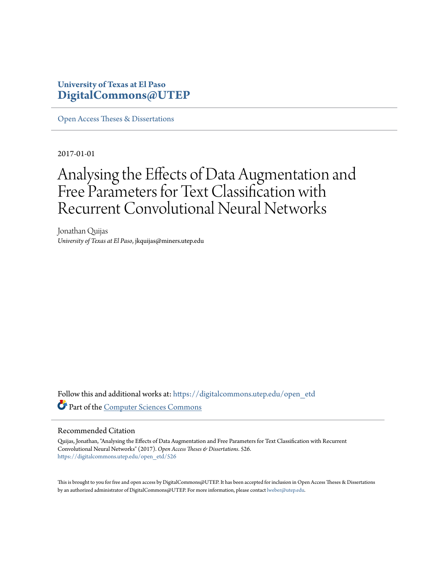### **University of Texas at El Paso [DigitalCommons@UTEP](https://digitalcommons.utep.edu/?utm_source=digitalcommons.utep.edu%2Fopen_etd%2F526&utm_medium=PDF&utm_campaign=PDFCoverPages)**

[Open Access Theses & Dissertations](https://digitalcommons.utep.edu/open_etd?utm_source=digitalcommons.utep.edu%2Fopen_etd%2F526&utm_medium=PDF&utm_campaign=PDFCoverPages)

2017-01-01

# Analysing the Effects of Data Augmentation and Free Parameters for Text Classification with Recurrent Convolutional Neural Networks

Jonathan Quijas *University of Texas at El Paso*, jkquijas@miners.utep.edu

Follow this and additional works at: [https://digitalcommons.utep.edu/open\\_etd](https://digitalcommons.utep.edu/open_etd?utm_source=digitalcommons.utep.edu%2Fopen_etd%2F526&utm_medium=PDF&utm_campaign=PDFCoverPages) Part of the [Computer Sciences Commons](http://network.bepress.com/hgg/discipline/142?utm_source=digitalcommons.utep.edu%2Fopen_etd%2F526&utm_medium=PDF&utm_campaign=PDFCoverPages)

#### Recommended Citation

Quijas, Jonathan, "Analysing the Effects of Data Augmentation and Free Parameters for Text Classification with Recurrent Convolutional Neural Networks" (2017). *Open Access Theses & Dissertations*. 526. [https://digitalcommons.utep.edu/open\\_etd/526](https://digitalcommons.utep.edu/open_etd/526?utm_source=digitalcommons.utep.edu%2Fopen_etd%2F526&utm_medium=PDF&utm_campaign=PDFCoverPages)

This is brought to you for free and open access by DigitalCommons@UTEP. It has been accepted for inclusion in Open Access Theses & Dissertations by an authorized administrator of DigitalCommons@UTEP. For more information, please contact [lweber@utep.edu.](mailto:lweber@utep.edu)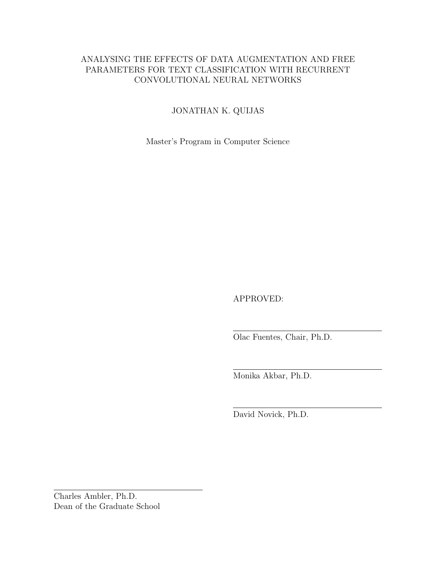### ANALYSING THE EFFECTS OF DATA AUGMENTATION AND FREE PARAMETERS FOR TEXT CLASSIFICATION WITH RECURRENT CONVOLUTIONAL NEURAL NETWORKS

### JONATHAN K. QUIJAS

Master's Program in Computer Science

APPROVED:

Olac Fuentes, Chair, Ph.D.

Monika Akbar, Ph.D.

David Novick, Ph.D.

Charles Ambler, Ph.D. Dean of the Graduate School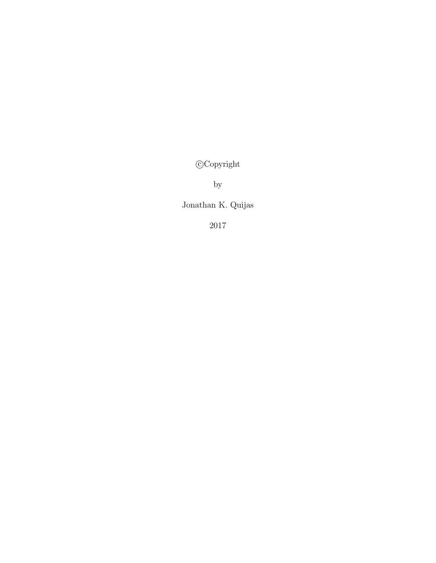c Copyright

by

Jonathan K. Quijas

2017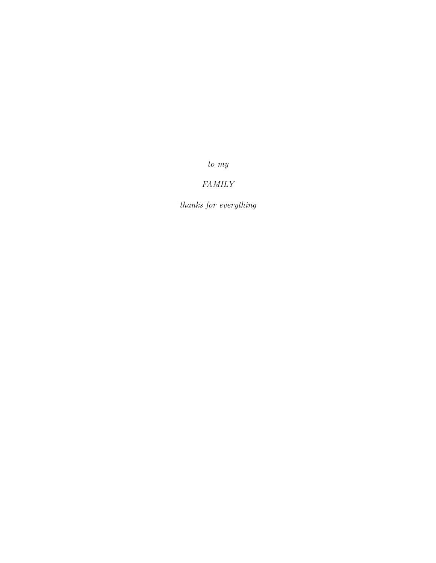to my

### FAMILY

thanks for everything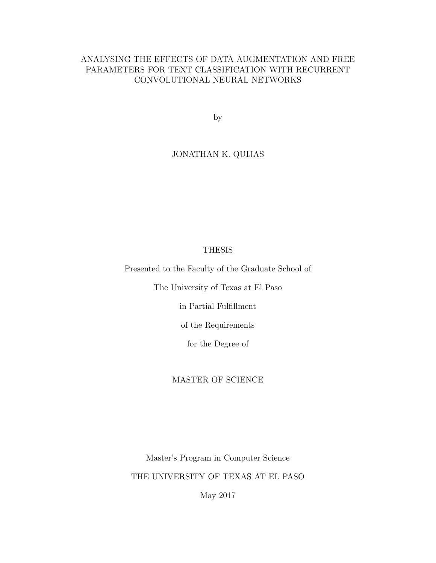### ANALYSING THE EFFECTS OF DATA AUGMENTATION AND FREE PARAMETERS FOR TEXT CLASSIFICATION WITH RECURRENT CONVOLUTIONAL NEURAL NETWORKS

by

### JONATHAN K. QUIJAS

#### THESIS

Presented to the Faculty of the Graduate School of

The University of Texas at El Paso

in Partial Fulfillment

of the Requirements

for the Degree of

#### MASTER OF SCIENCE

Master's Program in Computer Science THE UNIVERSITY OF TEXAS AT EL PASO

May 2017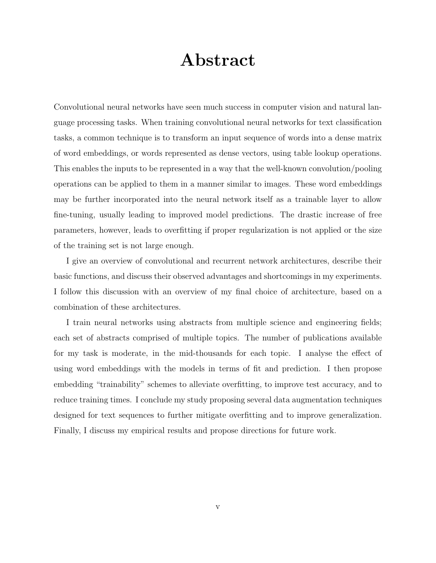# Abstract

Convolutional neural networks have seen much success in computer vision and natural language processing tasks. When training convolutional neural networks for text classification tasks, a common technique is to transform an input sequence of words into a dense matrix of word embeddings, or words represented as dense vectors, using table lookup operations. This enables the inputs to be represented in a way that the well-known convolution/pooling operations can be applied to them in a manner similar to images. These word embeddings may be further incorporated into the neural network itself as a trainable layer to allow fine-tuning, usually leading to improved model predictions. The drastic increase of free parameters, however, leads to overfitting if proper regularization is not applied or the size of the training set is not large enough.

I give an overview of convolutional and recurrent network architectures, describe their basic functions, and discuss their observed advantages and shortcomings in my experiments. I follow this discussion with an overview of my final choice of architecture, based on a combination of these architectures.

I train neural networks using abstracts from multiple science and engineering fields; each set of abstracts comprised of multiple topics. The number of publications available for my task is moderate, in the mid-thousands for each topic. I analyse the effect of using word embeddings with the models in terms of fit and prediction. I then propose embedding "trainability" schemes to alleviate overfitting, to improve test accuracy, and to reduce training times. I conclude my study proposing several data augmentation techniques designed for text sequences to further mitigate overfitting and to improve generalization. Finally, I discuss my empirical results and propose directions for future work.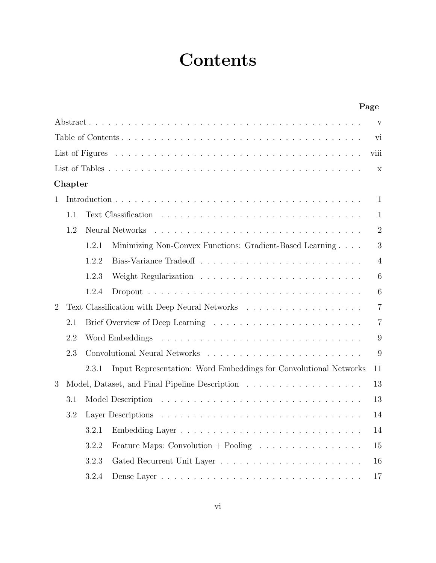# **Contents**

|                |         |       |                                                                                                                                                                                                                                | Page           |
|----------------|---------|-------|--------------------------------------------------------------------------------------------------------------------------------------------------------------------------------------------------------------------------------|----------------|
|                |         |       |                                                                                                                                                                                                                                | V              |
|                |         |       |                                                                                                                                                                                                                                | vi             |
|                |         |       |                                                                                                                                                                                                                                | viii           |
|                |         |       |                                                                                                                                                                                                                                | X              |
|                | Chapter |       |                                                                                                                                                                                                                                |                |
| 1              |         |       |                                                                                                                                                                                                                                | $\mathbf{1}$   |
|                | 1.1     |       |                                                                                                                                                                                                                                | $\mathbf{1}$   |
|                | 1.2     |       |                                                                                                                                                                                                                                | $\overline{2}$ |
|                |         | 1.2.1 | Minimizing Non-Convex Functions: Gradient-Based Learning                                                                                                                                                                       | 3              |
|                |         | 1.2.2 |                                                                                                                                                                                                                                | $\overline{4}$ |
|                |         | 1.2.3 |                                                                                                                                                                                                                                | 6              |
|                |         | 1.2.4 |                                                                                                                                                                                                                                | 6              |
| $\overline{2}$ |         |       |                                                                                                                                                                                                                                | $\overline{7}$ |
|                | 2.1     |       |                                                                                                                                                                                                                                | $\overline{7}$ |
|                | 2.2     |       |                                                                                                                                                                                                                                | 9              |
|                | 2.3     |       | Convolutional Neural Networks (and all other contracts of the set of the set of the set of the set of the set of the set of the set of the set of the set of the set of the set of the set of the set of the set of the set of | 9              |
|                |         | 2.3.1 | Input Representation: Word Embeddings for Convolutional Networks                                                                                                                                                               | 11             |
| 3              |         |       |                                                                                                                                                                                                                                | 13             |
|                | 3.1     |       |                                                                                                                                                                                                                                | 13             |
|                | 3.2     |       |                                                                                                                                                                                                                                | 14             |
|                |         | 3.2.1 |                                                                                                                                                                                                                                | 14             |
|                |         | 3.2.2 | Feature Maps: Convolution + Pooling $\ldots \ldots \ldots \ldots \ldots$                                                                                                                                                       | 15             |
|                |         | 3.2.3 |                                                                                                                                                                                                                                | 16             |
|                |         | 3.2.4 |                                                                                                                                                                                                                                | 17             |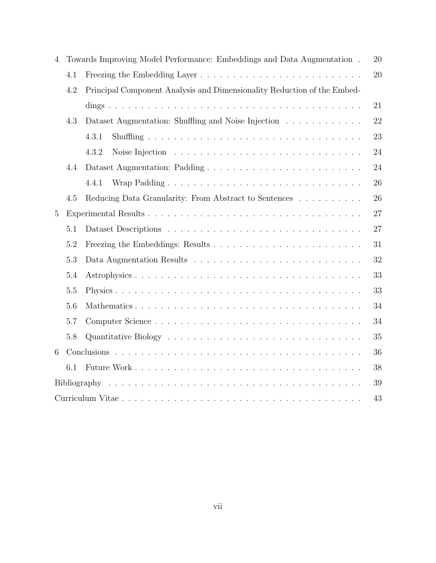| $\overline{4}$ |     | Towards Improving Model Performance: Embeddings and Data Augmentation.  | 20 |  |  |  |
|----------------|-----|-------------------------------------------------------------------------|----|--|--|--|
|                | 4.1 |                                                                         | 20 |  |  |  |
|                | 4.2 | Principal Component Analysis and Dimensionality Reduction of the Embed- |    |  |  |  |
|                |     |                                                                         | 21 |  |  |  |
|                | 4.3 | Dataset Augmentation: Shuffling and Noise Injection                     | 22 |  |  |  |
|                |     | 4.3.1                                                                   | 23 |  |  |  |
|                |     | 4.3.2                                                                   | 24 |  |  |  |
|                | 4.4 |                                                                         | 24 |  |  |  |
|                |     | 4.4.1                                                                   | 26 |  |  |  |
|                | 4.5 | Reducing Data Granularity: From Abstract to Sentences                   | 26 |  |  |  |
| $\overline{5}$ | 27  |                                                                         |    |  |  |  |
|                | 5.1 |                                                                         | 27 |  |  |  |
|                | 5.2 |                                                                         | 31 |  |  |  |
|                | 5.3 |                                                                         | 32 |  |  |  |
|                | 5.4 |                                                                         | 33 |  |  |  |
|                | 5.5 |                                                                         | 33 |  |  |  |
|                | 5.6 |                                                                         | 34 |  |  |  |
|                | 5.7 |                                                                         | 34 |  |  |  |
|                | 5.8 |                                                                         | 35 |  |  |  |
| 6              |     |                                                                         | 36 |  |  |  |
|                | 6.1 |                                                                         | 38 |  |  |  |
|                |     |                                                                         | 39 |  |  |  |
|                |     |                                                                         | 43 |  |  |  |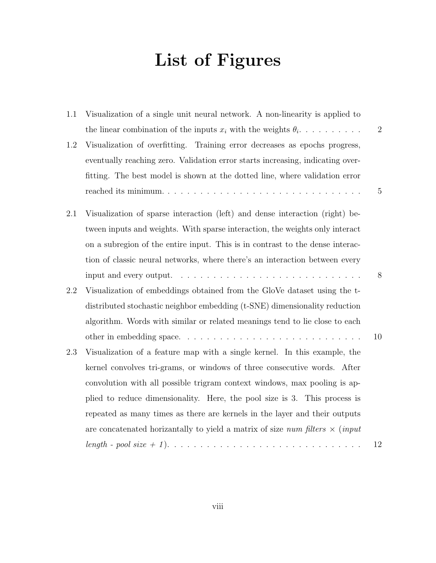# List of Figures

| 1.1 | Visualization of a single unit neural network. A non-linearity is applied to        |                |
|-----|-------------------------------------------------------------------------------------|----------------|
|     | the linear combination of the inputs $x_i$ with the weights $\theta_i$              | $\overline{2}$ |
| 1.2 | Visualization of overfitting. Training error decreases as epochs progress,          |                |
|     | eventually reaching zero. Validation error starts increasing, indicating over-      |                |
|     | fitting. The best model is shown at the dotted line, where validation error         |                |
|     |                                                                                     | 5              |
| 2.1 | Visualization of sparse interaction (left) and dense interaction (right) be-        |                |
|     | tween inputs and weights. With sparse interaction, the weights only interact        |                |
|     | on a subregion of the entire input. This is in contrast to the dense interac-       |                |
|     | tion of classic neural networks, where there's an interaction between every         |                |
|     |                                                                                     | 8              |
| 2.2 | Visualization of embeddings obtained from the GloVe dataset using the t-            |                |
|     | distributed stochastic neighbor embedding (t-SNE) dimensionality reduction          |                |
|     | algorithm. Words with similar or related meanings tend to lie close to each         |                |
|     |                                                                                     | 10             |
| 2.3 | Visualization of a feature map with a single kernel. In this example, the           |                |
|     | kernel convolves tri-grams, or windows of three consecutive words. After            |                |
|     | convolution with all possible trigram context windows, max pooling is ap-           |                |
|     | plied to reduce dimensionality. Here, the pool size is 3. This process is           |                |
|     | repeated as many times as there are kernels in the layer and their outputs          |                |
|     | are concatenated horizantally to yield a matrix of size num filters $\times$ (input |                |
|     |                                                                                     | 12             |
|     |                                                                                     |                |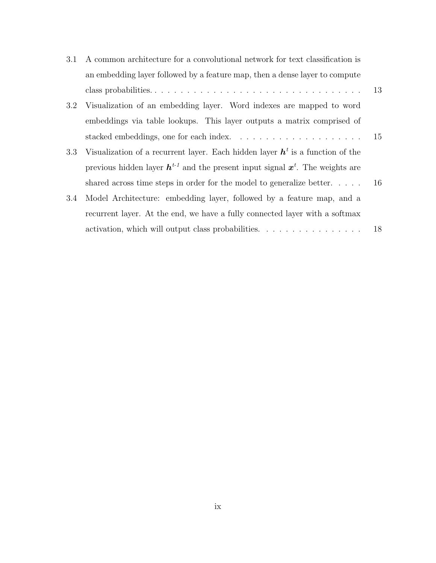| 3.1 | A common architecture for a convolutional network for text classification is         |    |
|-----|--------------------------------------------------------------------------------------|----|
|     | an embedding layer followed by a feature map, then a dense layer to compute          |    |
|     |                                                                                      | 13 |
| 3.2 | Visualization of an embedding layer. Word indexes are mapped to word                 |    |
|     | embeddings via table lookups. This layer outputs a matrix comprised of               |    |
|     |                                                                                      |    |
| 3.3 | Visualization of a recurrent layer. Each hidden layer $h^t$ is a function of the     |    |
|     | previous hidden layer $h^{t-1}$ and the present input signal $x^t$ . The weights are |    |
|     | shared across time steps in order for the model to generalize better $16$            |    |
| 3.4 | Model Architecture: embedding layer, followed by a feature map, and a                |    |
|     | recurrent layer. At the end, we have a fully connected layer with a softmax          |    |
|     | activation, which will output class probabilities.                                   | 18 |
|     |                                                                                      |    |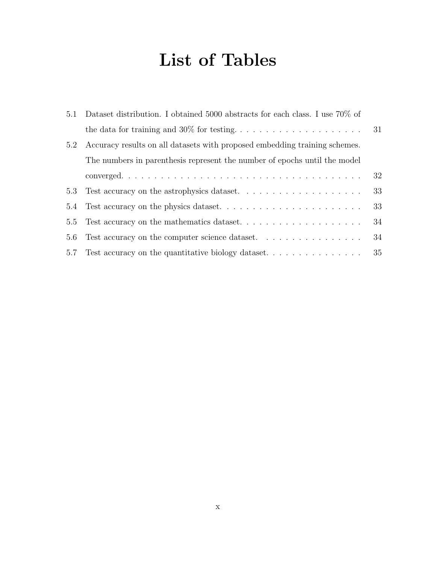# List of Tables

| 5.1                                                                        |                                                                              |  |  |  |  |
|----------------------------------------------------------------------------|------------------------------------------------------------------------------|--|--|--|--|
|                                                                            |                                                                              |  |  |  |  |
| Accuracy results on all datasets with proposed embedding training schemes. |                                                                              |  |  |  |  |
| The numbers in parenthesis represent the number of epochs until the model  |                                                                              |  |  |  |  |
|                                                                            | 32                                                                           |  |  |  |  |
|                                                                            | 33                                                                           |  |  |  |  |
|                                                                            | 33                                                                           |  |  |  |  |
|                                                                            | 34                                                                           |  |  |  |  |
| Test accuracy on the computer science dataset.                             | 34                                                                           |  |  |  |  |
| 5.7 Test accuracy on the quantitative biology dataset                      | 35                                                                           |  |  |  |  |
|                                                                            | Dataset distribution. I obtained 5000 abstracts for each class. I use 70% of |  |  |  |  |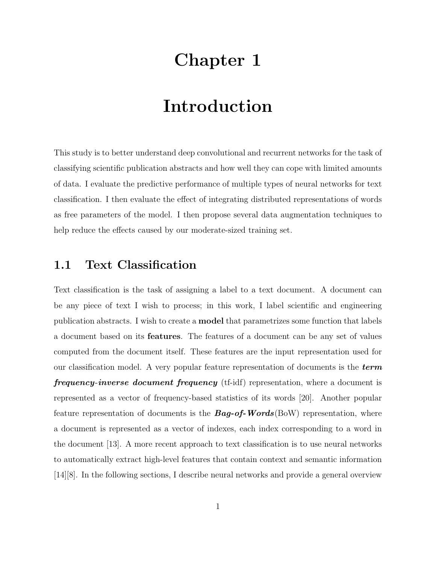# Chapter 1

# Introduction

This study is to better understand deep convolutional and recurrent networks for the task of classifying scientific publication abstracts and how well they can cope with limited amounts of data. I evaluate the predictive performance of multiple types of neural networks for text classification. I then evaluate the effect of integrating distributed representations of words as free parameters of the model. I then propose several data augmentation techniques to help reduce the effects caused by our moderate-sized training set.

### 1.1 Text Classification

Text classification is the task of assigning a label to a text document. A document can be any piece of text I wish to process; in this work, I label scientific and engineering publication abstracts. I wish to create a model that parametrizes some function that labels a document based on its features. The features of a document can be any set of values computed from the document itself. These features are the input representation used for our classification model. A very popular feature representation of documents is the  $term$ **frequency-inverse document frequency** (tf-idf) representation, where a document is represented as a vector of frequency-based statistics of its words [20]. Another popular feature representation of documents is the  $Bag\text{-}of\text{-}Words(BoW)$  representation, where a document is represented as a vector of indexes, each index corresponding to a word in the document [13]. A more recent approach to text classification is to use neural networks to automatically extract high-level features that contain context and semantic information [14][8]. In the following sections, I describe neural networks and provide a general overview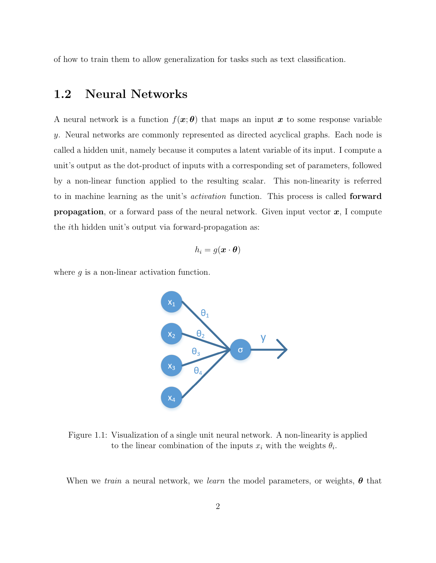of how to train them to allow generalization for tasks such as text classification.

### 1.2 Neural Networks

A neural network is a function  $f(x;\theta)$  that maps an input x to some response variable y. Neural networks are commonly represented as directed acyclical graphs. Each node is called a hidden unit, namely because it computes a latent variable of its input. I compute a unit's output as the dot-product of inputs with a corresponding set of parameters, followed by a non-linear function applied to the resulting scalar. This non-linearity is referred to in machine learning as the unit's *activation* function. This process is called **forward propagation**, or a forward pass of the neural network. Given input vector  $x$ , I compute the ith hidden unit's output via forward-propagation as:

$$
h_i = g(\boldsymbol{x} \cdot \boldsymbol{\theta})
$$

where  $g$  is a non-linear activation function.



Figure 1.1: Visualization of a single unit neural network. A non-linearity is applied to the linear combination of the inputs  $x_i$  with the weights  $\theta_i$ .

When we train a neural network, we learn the model parameters, or weights,  $\theta$  that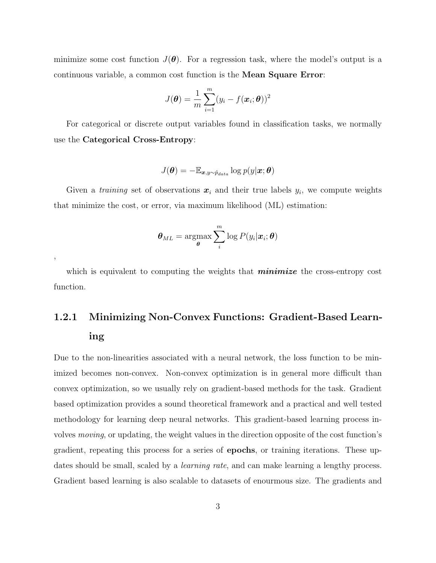minimize some cost function  $J(\theta)$ . For a regression task, where the model's output is a continuous variable, a common cost function is the Mean Square Error:

$$
J(\boldsymbol{\theta}) = \frac{1}{m} \sum_{i=1}^{m} (y_i - f(\boldsymbol{x}_i; \boldsymbol{\theta}))^2
$$

For categorical or discrete output variables found in classification tasks, we normally use the Categorical Cross-Entropy:

$$
J(\boldsymbol{\theta}) = -\mathbb{E}_{\boldsymbol{x}, y \sim \hat{p}_{data}} \log p(y|\boldsymbol{x}; \boldsymbol{\theta})
$$

Given a *training* set of observations  $x_i$  and their true labels  $y_i$ , we compute weights that minimize the cost, or error, via maximum likelihood (ML) estimation:

$$
\boldsymbol{\theta}_{ML} = \operatorname*{argmax}_{\boldsymbol{\theta}} \sum_{i}^{m} \log P(y_i|\boldsymbol{x}_i; \boldsymbol{\theta})
$$

,

which is equivalent to computing the weights that **minimize** the cross-entropy cost function.

# 1.2.1 Minimizing Non-Convex Functions: Gradient-Based Learning

Due to the non-linearities associated with a neural network, the loss function to be minimized becomes non-convex. Non-convex optimization is in general more difficult than convex optimization, so we usually rely on gradient-based methods for the task. Gradient based optimization provides a sound theoretical framework and a practical and well tested methodology for learning deep neural networks. This gradient-based learning process involves moving, or updating, the weight values in the direction opposite of the cost function's gradient, repeating this process for a series of epochs, or training iterations. These updates should be small, scaled by a *learning rate*, and can make learning a lengthy process. Gradient based learning is also scalable to datasets of enourmous size. The gradients and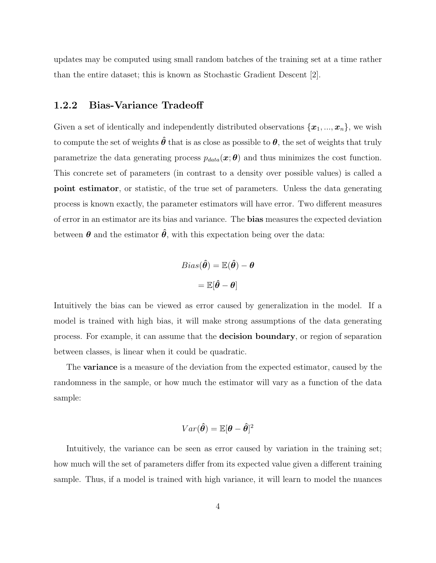updates may be computed using small random batches of the training set at a time rather than the entire dataset; this is known as Stochastic Gradient Descent [2].

#### 1.2.2 Bias-Variance Tradeoff

Given a set of identically and independently distributed observations  $\{\boldsymbol{x}_1, ..., \boldsymbol{x}_n\}$ , we wish to compute the set of weights  $\hat{\theta}$  that is as close as possible to  $\theta$ , the set of weights that truly parametrize the data generating process  $p_{data}(\boldsymbol{x}; \boldsymbol{\theta})$  and thus minimizes the cost function. This concrete set of parameters (in contrast to a density over possible values) is called a point estimator, or statistic, of the true set of parameters. Unless the data generating process is known exactly, the parameter estimators will have error. Two different measures of error in an estimator are its bias and variance. The bias measures the expected deviation between  $\theta$  and the estimator  $\hat{\theta}$ , with this expectation being over the data:

$$
Bias(\hat{\boldsymbol{\theta}}) = \mathbb{E}(\hat{\boldsymbol{\theta}}) - \boldsymbol{\theta}
$$

$$
= \mathbb{E}[\hat{\boldsymbol{\theta}} - \boldsymbol{\theta}]
$$

Intuitively the bias can be viewed as error caused by generalization in the model. If a model is trained with high bias, it will make strong assumptions of the data generating process. For example, it can assume that the decision boundary, or region of separation between classes, is linear when it could be quadratic.

The variance is a measure of the deviation from the expected estimator, caused by the randomness in the sample, or how much the estimator will vary as a function of the data sample:

$$
Var(\boldsymbol{\hat{\theta}}) = \mathbb{E}[\boldsymbol{\theta}-\boldsymbol{\hat{\theta}}]^2
$$

Intuitively, the variance can be seen as error caused by variation in the training set; how much will the set of parameters differ from its expected value given a different training sample. Thus, if a model is trained with high variance, it will learn to model the nuances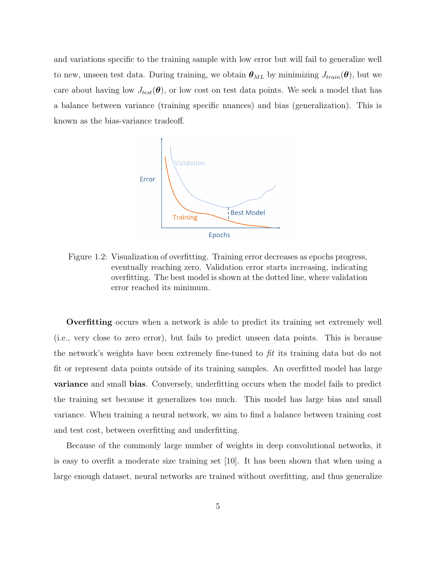and variations specific to the training sample with low error but will fail to generalize well to new, unseen test data. During training, we obtain  $\theta_{ML}$  by minimizing  $J_{train}(\theta)$ , but we care about having low  $J_{test}(\theta)$ , or low cost on test data points. We seek a model that has a balance between variance (training specific nuances) and bias (generalization). This is known as the bias-variance tradeoff.



Figure 1.2: Visualization of overfitting. Training error decreases as epochs progress, eventually reaching zero. Validation error starts increasing, indicating overfitting. The best model is shown at the dotted line, where validation error reached its minimum.

Overfitting occurs when a network is able to predict its training set extremely well (i.e., very close to zero error), but fails to predict unseen data points. This is because the network's weights have been extremely fine-tuned to  $\hat{p}t$  its training data but do not fit or represent data points outside of its training samples. An overfitted model has large variance and small bias. Conversely, underfitting occurs when the model fails to predict the training set because it generalizes too much. This model has large bias and small variance. When training a neural network, we aim to find a balance between training cost and test cost, between overfitting and underfitting.

Because of the commonly large number of weights in deep convolutional networks, it is easy to overfit a moderate size training set [10]. It has been shown that when using a large enough dataset, neural networks are trained without overfitting, and thus generalize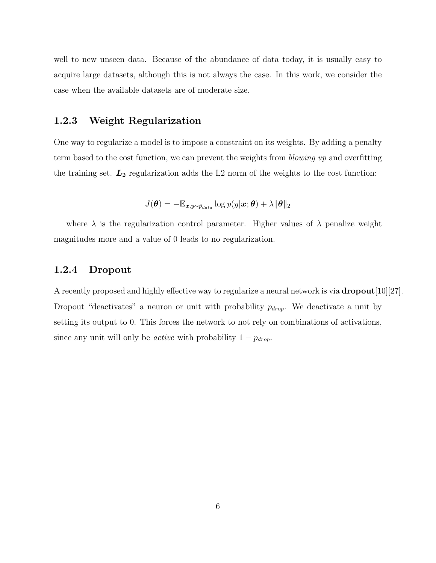well to new unseen data. Because of the abundance of data today, it is usually easy to acquire large datasets, although this is not always the case. In this work, we consider the case when the available datasets are of moderate size.

### 1.2.3 Weight Regularization

One way to regularize a model is to impose a constraint on its weights. By adding a penalty term based to the cost function, we can prevent the weights from blowing up and overfitting the training set.  $L_2$  regularization adds the L2 norm of the weights to the cost function:

$$
J(\boldsymbol{\theta}) = -\mathbb{E}_{\boldsymbol{x}, y \sim \hat{p}_{data}} \log p(y|\boldsymbol{x}; \boldsymbol{\theta}) + \lambda ||\boldsymbol{\theta}||_2
$$

where  $\lambda$  is the regularization control parameter. Higher values of  $\lambda$  penalize weight magnitudes more and a value of 0 leads to no regularization.

#### 1.2.4 Dropout

A recently proposed and highly effective way to regularize a neural network is via  $\text{dropout}[10][27]$ . Dropout "deactivates" a neuron or unit with probability  $p_{drop}$ . We deactivate a unit by setting its output to 0. This forces the network to not rely on combinations of activations, since any unit will only be *active* with probability  $1 - p_{drop}$ .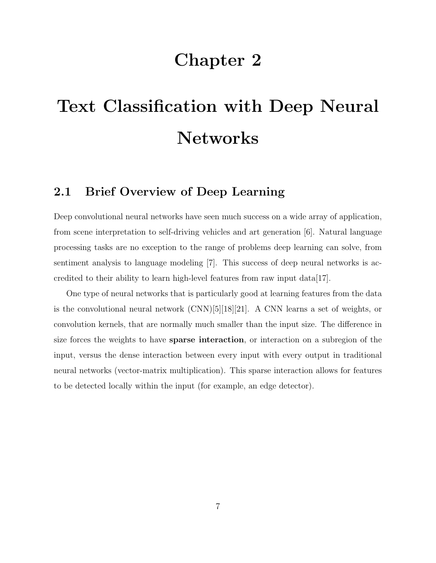# Chapter 2

# Text Classification with Deep Neural Networks

### 2.1 Brief Overview of Deep Learning

Deep convolutional neural networks have seen much success on a wide array of application, from scene interpretation to self-driving vehicles and art generation [6]. Natural language processing tasks are no exception to the range of problems deep learning can solve, from sentiment analysis to language modeling [7]. This success of deep neural networks is accredited to their ability to learn high-level features from raw input data[17].

One type of neural networks that is particularly good at learning features from the data is the convolutional neural network  $(CNN)[5][18][21]$ . A CNN learns a set of weights, or convolution kernels, that are normally much smaller than the input size. The difference in size forces the weights to have sparse interaction, or interaction on a subregion of the input, versus the dense interaction between every input with every output in traditional neural networks (vector-matrix multiplication). This sparse interaction allows for features to be detected locally within the input (for example, an edge detector).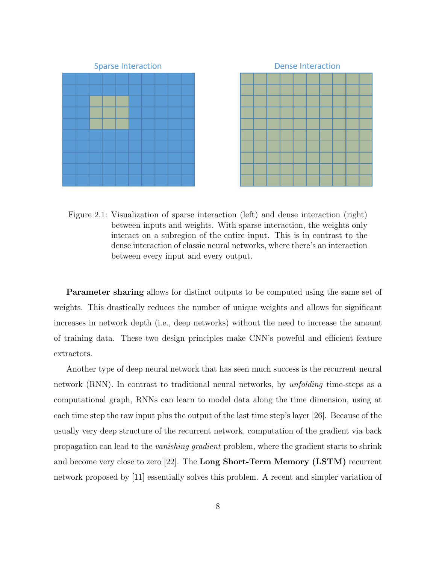



Figure 2.1: Visualization of sparse interaction (left) and dense interaction (right) between inputs and weights. With sparse interaction, the weights only interact on a subregion of the entire input. This is in contrast to the dense interaction of classic neural networks, where there's an interaction between every input and every output.

Parameter sharing allows for distinct outputs to be computed using the same set of weights. This drastically reduces the number of unique weights and allows for significant increases in network depth (i.e., deep networks) without the need to increase the amount of training data. These two design principles make CNN's poweful and efficient feature extractors.

Another type of deep neural network that has seen much success is the recurrent neural network (RNN). In contrast to traditional neural networks, by *unfolding* time-steps as a computational graph, RNNs can learn to model data along the time dimension, using at each time step the raw input plus the output of the last time step's layer [26]. Because of the usually very deep structure of the recurrent network, computation of the gradient via back propagation can lead to the vanishing gradient problem, where the gradient starts to shrink and become very close to zero [22]. The Long Short-Term Memory (LSTM) recurrent network proposed by [11] essentially solves this problem. A recent and simpler variation of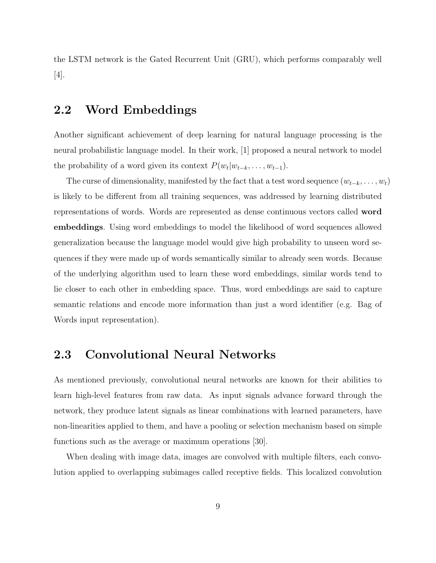the LSTM network is the Gated Recurrent Unit (GRU), which performs comparably well [4].

### 2.2 Word Embeddings

Another significant achievement of deep learning for natural language processing is the neural probabilistic language model. In their work, [1] proposed a neural network to model the probability of a word given its context  $P(w_t|w_{t-k}, \ldots, w_{t-1})$ .

The curse of dimensionality, manifested by the fact that a test word sequence  $(w_{t-k}, \ldots, w_t)$ is likely to be different from all training sequences, was addressed by learning distributed representations of words. Words are represented as dense continuous vectors called word embeddings. Using word embeddings to model the likelihood of word sequences allowed generalization because the language model would give high probability to unseen word sequences if they were made up of words semantically similar to already seen words. Because of the underlying algorithm used to learn these word embeddings, similar words tend to lie closer to each other in embedding space. Thus, word embeddings are said to capture semantic relations and encode more information than just a word identifier (e.g. Bag of Words input representation).

### 2.3 Convolutional Neural Networks

As mentioned previously, convolutional neural networks are known for their abilities to learn high-level features from raw data. As input signals advance forward through the network, they produce latent signals as linear combinations with learned parameters, have non-linearities applied to them, and have a pooling or selection mechanism based on simple functions such as the average or maximum operations [30].

When dealing with image data, images are convolved with multiple filters, each convolution applied to overlapping subimages called receptive fields. This localized convolution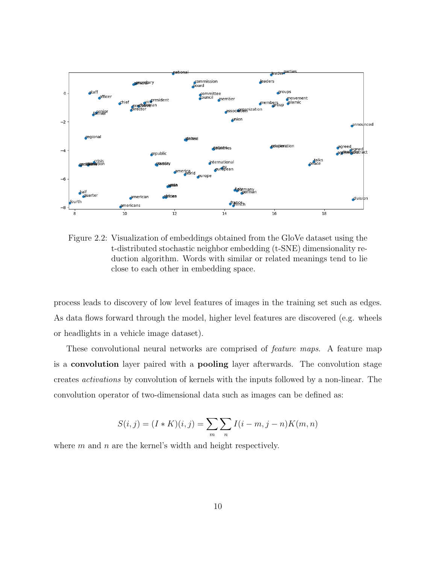

Figure 2.2: Visualization of embeddings obtained from the GloVe dataset using the t-distributed stochastic neighbor embedding (t-SNE) dimensionality reduction algorithm. Words with similar or related meanings tend to lie close to each other in embedding space.

process leads to discovery of low level features of images in the training set such as edges. As data flows forward through the model, higher level features are discovered (e.g. wheels or headlights in a vehicle image dataset).

These convolutional neural networks are comprised of *feature maps*. A feature map is a convolution layer paired with a pooling layer afterwards. The convolution stage creates activations by convolution of kernels with the inputs followed by a non-linear. The convolution operator of two-dimensional data such as images can be defined as:

$$
S(i, j) = (I * K)(i, j) = \sum_{m} \sum_{n} I(i - m, j - n)K(m, n)
$$

where  $m$  and  $n$  are the kernel's width and height respectively.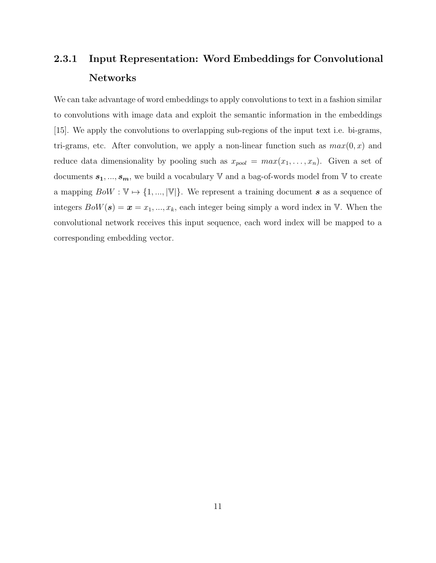## 2.3.1 Input Representation: Word Embeddings for Convolutional Networks

We can take advantage of word embeddings to apply convolutions to text in a fashion similar to convolutions with image data and exploit the semantic information in the embeddings [15]. We apply the convolutions to overlapping sub-regions of the input text i.e. bi-grams, tri-grams, etc. After convolution, we apply a non-linear function such as  $max(0, x)$  and reduce data dimensionality by pooling such as  $x_{pool} = max(x_1, ..., x_n)$ . Given a set of documents  $\pmb{s_1},...,\pmb{s_m},$  we build a vocabulary  $\mathbb {V}$  and a bag-of-words model from  $\mathbb {V}$  to create a mapping  $BoW : \mathbb{V} \to \{1, ..., |\mathbb{V}|\}$ . We represent a training document s as a sequence of integers  $BoW(s) = \mathbf{x} = x_1, ..., x_k$ , each integer being simply a word index in V. When the convolutional network receives this input sequence, each word index will be mapped to a corresponding embedding vector.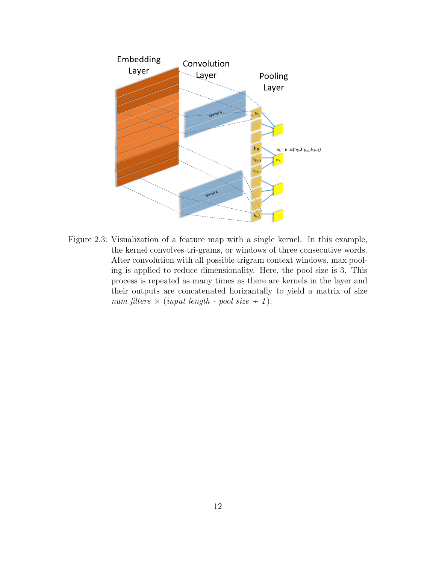

Figure 2.3: Visualization of a feature map with a single kernel. In this example, the kernel convolves tri-grams, or windows of three consecutive words. After convolution with all possible trigram context windows, max pooling is applied to reduce dimensionality. Here, the pool size is 3. This process is repeated as many times as there are kernels in the layer and their outputs are concatenated horizantally to yield a matrix of size num filters  $\times$  (input length - pool size + 1).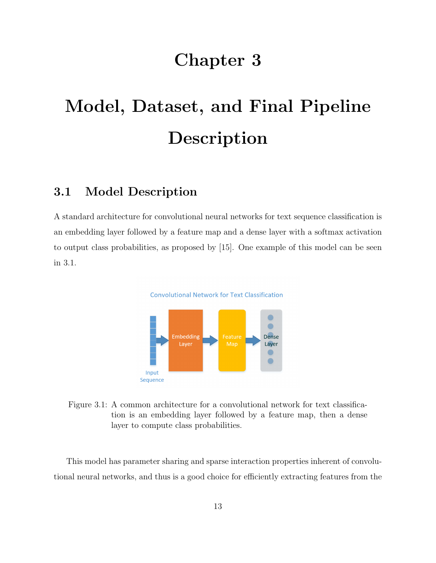# Chapter 3

# Model, Dataset, and Final Pipeline Description

### 3.1 Model Description

A standard architecture for convolutional neural networks for text sequence classification is an embedding layer followed by a feature map and a dense layer with a softmax activation to output class probabilities, as proposed by [15]. One example of this model can be seen in 3.1.



Figure 3.1: A common architecture for a convolutional network for text classification is an embedding layer followed by a feature map, then a dense layer to compute class probabilities.

This model has parameter sharing and sparse interaction properties inherent of convolutional neural networks, and thus is a good choice for efficiently extracting features from the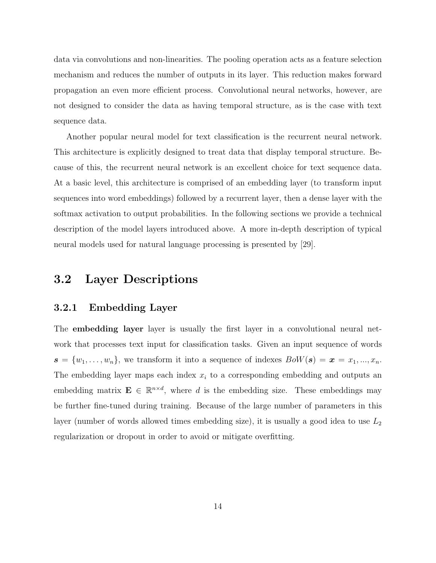data via convolutions and non-linearities. The pooling operation acts as a feature selection mechanism and reduces the number of outputs in its layer. This reduction makes forward propagation an even more efficient process. Convolutional neural networks, however, are not designed to consider the data as having temporal structure, as is the case with text sequence data.

Another popular neural model for text classification is the recurrent neural network. This architecture is explicitly designed to treat data that display temporal structure. Because of this, the recurrent neural network is an excellent choice for text sequence data. At a basic level, this architecture is comprised of an embedding layer (to transform input sequences into word embeddings) followed by a recurrent layer, then a dense layer with the softmax activation to output probabilities. In the following sections we provide a technical description of the model layers introduced above. A more in-depth description of typical neural models used for natural language processing is presented by [29].

### 3.2 Layer Descriptions

#### 3.2.1 Embedding Layer

The **embedding layer** layer is usually the first layer in a convolutional neural network that processes text input for classification tasks. Given an input sequence of words  $\mathbf{s} = \{w_1, \ldots, w_n\}$ , we transform it into a sequence of indexes  $BoW(\mathbf{s}) = \mathbf{x} = x_1, \ldots, x_n$ . The embedding layer maps each index  $x_i$  to a corresponding embedding and outputs an embedding matrix  $\mathbf{E} \in \mathbb{R}^{n \times d}$ , where d is the embedding size. These embeddings may be further fine-tuned during training. Because of the large number of parameters in this layer (number of words allowed times embedding size), it is usually a good idea to use  $L_2$ regularization or dropout in order to avoid or mitigate overfitting.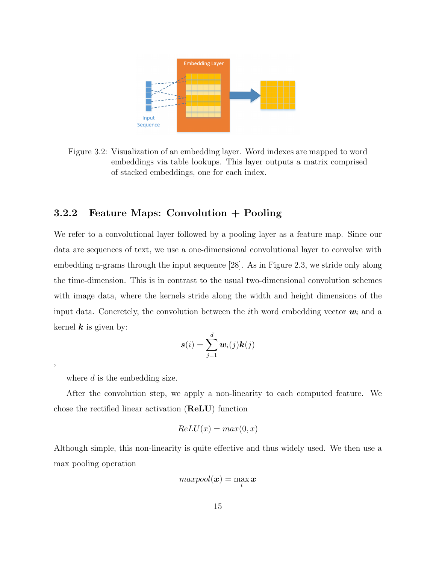

Figure 3.2: Visualization of an embedding layer. Word indexes are mapped to word embeddings via table lookups. This layer outputs a matrix comprised of stacked embeddings, one for each index.

#### 3.2.2 Feature Maps: Convolution + Pooling

We refer to a convolutional layer followed by a pooling layer as a feature map. Since our data are sequences of text, we use a one-dimensional convolutional layer to convolve with embedding n-grams through the input sequence [28]. As in Figure 2.3, we stride only along the time-dimension. This is in contrast to the usual two-dimensional convolution schemes with image data, where the kernels stride along the width and height dimensions of the input data. Concretely, the convolution between the *i*th word embedding vector  $w_i$  and a kernel  $k$  is given by:

$$
\boldsymbol{s}(i) = \sum_{j=1}^d \boldsymbol{w}_i(j) \boldsymbol{k}(j)
$$

where d is the embedding size.

,

After the convolution step, we apply a non-linearity to each computed feature. We chose the rectified linear activation (ReLU) function

$$
ReLU(x) = max(0, x)
$$

Although simple, this non-linearity is quite effective and thus widely used. We then use a max pooling operation

$$
maxpool(\bm{x}) = \max_i \bm{x}
$$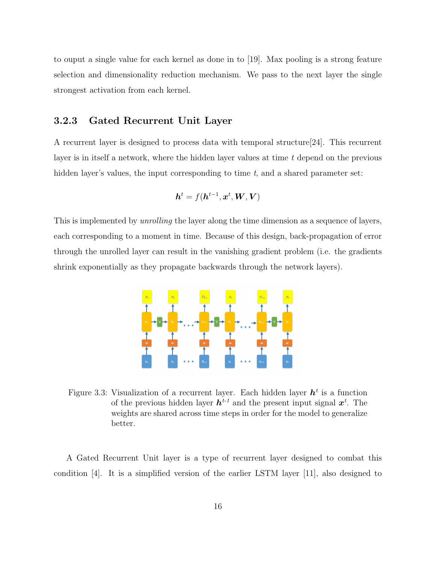to ouput a single value for each kernel as done in to [19]. Max pooling is a strong feature selection and dimensionality reduction mechanism. We pass to the next layer the single strongest activation from each kernel.

#### 3.2.3 Gated Recurrent Unit Layer

A recurrent layer is designed to process data with temporal structure[24]. This recurrent layer is in itself a network, where the hidden layer values at time  $t$  depend on the previous hidden layer's values, the input corresponding to time  $t$ , and a shared parameter set:

$$
\boldsymbol{h}^t = f(\boldsymbol{h}^{t-1}, \boldsymbol{x}^t, \boldsymbol{W}, \boldsymbol{V})
$$

This is implemented by *unrolling* the layer along the time dimension as a sequence of layers, each corresponding to a moment in time. Because of this design, back-propagation of error through the unrolled layer can result in the vanishing gradient problem (i.e. the gradients shrink exponentially as they propagate backwards through the network layers).



Figure 3.3: Visualization of a recurrent layer. Each hidden layer  $h<sup>t</sup>$  is a function of the previous hidden layer  $h^{t-1}$  and the present input signal  $x^t$ . The weights are shared across time steps in order for the model to generalize better.

A Gated Recurrent Unit layer is a type of recurrent layer designed to combat this condition [4]. It is a simplified version of the earlier LSTM layer [11], also designed to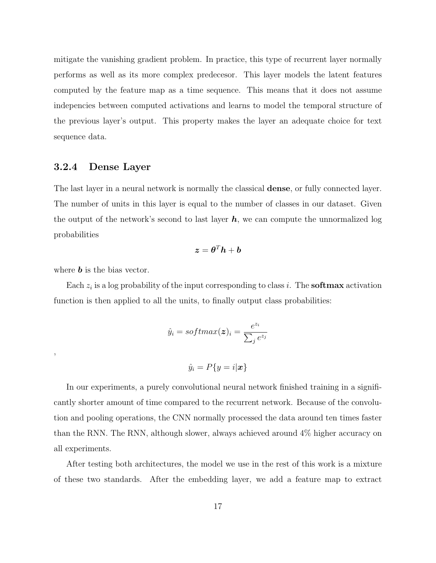mitigate the vanishing gradient problem. In practice, this type of recurrent layer normally performs as well as its more complex predecesor. This layer models the latent features computed by the feature map as a time sequence. This means that it does not assume indepencies between computed activations and learns to model the temporal structure of the previous layer's output. This property makes the layer an adequate choice for text sequence data.

#### 3.2.4 Dense Layer

The last layer in a neural network is normally the classical dense, or fully connected layer. The number of units in this layer is equal to the number of classes in our dataset. Given the output of the network's second to last layer  $h$ , we can compute the unnormalized log probabilities

$$
\boldsymbol{z} = \boldsymbol{\theta}^T \boldsymbol{h} + \boldsymbol{b}
$$

where  $\boldsymbol{b}$  is the bias vector.

,

Each  $z_i$  is a log probability of the input corresponding to class i. The **softmax** activation function is then applied to all the units, to finally output class probabilities:

$$
\hat{y}_i = softmax(\boldsymbol{z})_i = \frac{e^{z_i}}{\sum_j e^{z_j}}
$$

$$
\hat{y}_i = P\{y = i|\boldsymbol{x}\}\
$$

In our experiments, a purely convolutional neural network finished training in a significantly shorter amount of time compared to the recurrent network. Because of the convolution and pooling operations, the CNN normally processed the data around ten times faster than the RNN. The RNN, although slower, always achieved around 4% higher accuracy on all experiments.

After testing both architectures, the model we use in the rest of this work is a mixture of these two standards. After the embedding layer, we add a feature map to extract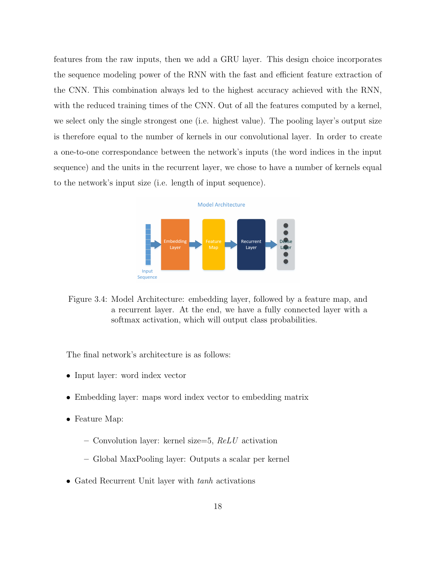features from the raw inputs, then we add a GRU layer. This design choice incorporates the sequence modeling power of the RNN with the fast and efficient feature extraction of the CNN. This combination always led to the highest accuracy achieved with the RNN, with the reduced training times of the CNN. Out of all the features computed by a kernel, we select only the single strongest one (i.e. highest value). The pooling layer's output size is therefore equal to the number of kernels in our convolutional layer. In order to create a one-to-one correspondance between the network's inputs (the word indices in the input sequence) and the units in the recurrent layer, we chose to have a number of kernels equal to the network's input size (i.e. length of input sequence).

#### **Model Architecture**



Figure 3.4: Model Architecture: embedding layer, followed by a feature map, and a recurrent layer. At the end, we have a fully connected layer with a softmax activation, which will output class probabilities.

The final network's architecture is as follows:

- Input layer: word index vector
- Embedding layer: maps word index vector to embedding matrix
- Feature Map:
	- Convolution layer: kernel size=5,  $ReLU$  activation
	- Global MaxPooling layer: Outputs a scalar per kernel
- Gated Recurrent Unit layer with tanh activations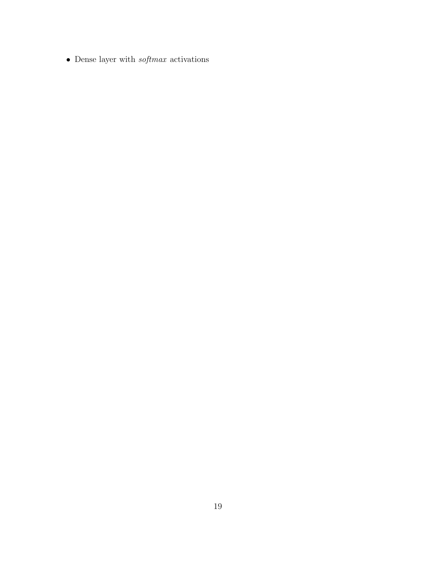$\bullet~$  Dense layer with  $\it softmax~$  activations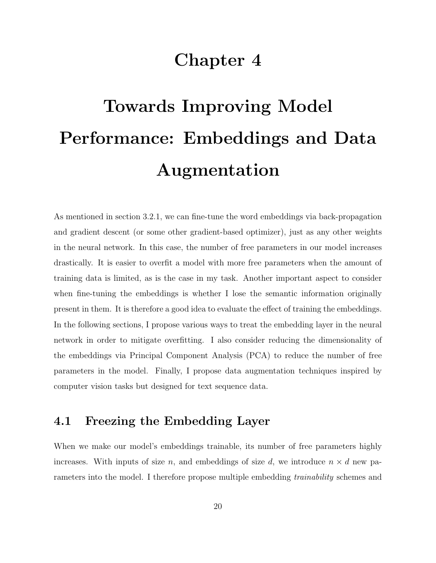# Chapter 4

# Towards Improving Model Performance: Embeddings and Data Augmentation

As mentioned in section 3.2.1, we can fine-tune the word embeddings via back-propagation and gradient descent (or some other gradient-based optimizer), just as any other weights in the neural network. In this case, the number of free parameters in our model increases drastically. It is easier to overfit a model with more free parameters when the amount of training data is limited, as is the case in my task. Another important aspect to consider when fine-tuning the embeddings is whether I lose the semantic information originally present in them. It is therefore a good idea to evaluate the effect of training the embeddings. In the following sections, I propose various ways to treat the embedding layer in the neural network in order to mitigate overfitting. I also consider reducing the dimensionality of the embeddings via Principal Component Analysis (PCA) to reduce the number of free parameters in the model. Finally, I propose data augmentation techniques inspired by computer vision tasks but designed for text sequence data.

### 4.1 Freezing the Embedding Layer

When we make our model's embeddings trainable, its number of free parameters highly increases. With inputs of size n, and embeddings of size d, we introduce  $n \times d$  new parameters into the model. I therefore propose multiple embedding *trainability* schemes and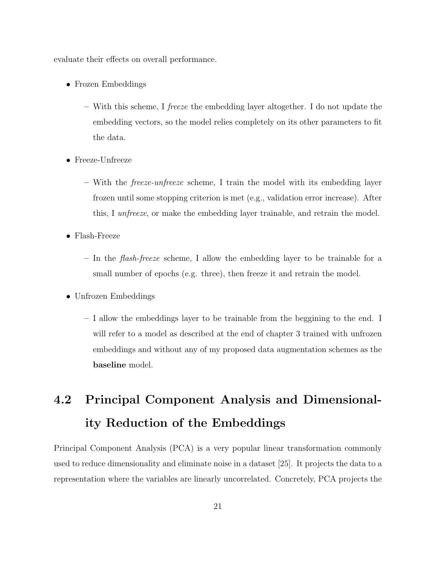evaluate their effects on overall performance.

- Frozen Embeddings
	- With this scheme, I freeze the embedding layer altogether. I do not update the embedding vectors, so the model relies completely on its other parameters to fit the data.
- Freeze-Unfreeze
	- With the freeze-unfreeze scheme, I train the model with its embedding layer frozen until some stopping criterion is met (e.g., validation error increase). After this, I unfreeze, or make the embedding layer trainable, and retrain the model.
- Flash-Freeze
	- $-$  In the *flash-freeze* scheme, I allow the embedding layer to be trainable for a small number of epochs (e.g. three), then freeze it and retrain the model.
- Unfrozen Embeddings
	- I allow the embeddings layer to be trainable from the beggining to the end. I will refer to a model as described at the end of chapter 3 trained with unfrozen embeddings and without any of my proposed data augmentation schemes as the baseline model.

# 4.2 Principal Component Analysis and Dimensionality Reduction of the Embeddings

Principal Component Analysis (PCA) is a very popular linear transformation commonly used to reduce dimensionality and eliminate noise in a dataset [25]. It projects the data to a representation where the variables are linearly uncorrelated. Concretely, PCA projects the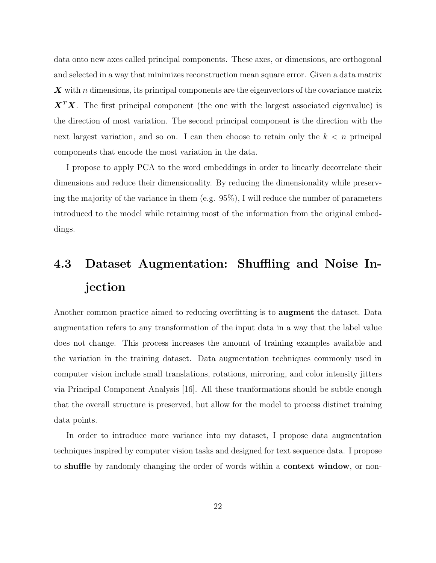data onto new axes called principal components. These axes, or dimensions, are orthogonal and selected in a way that minimizes reconstruction mean square error. Given a data matrix  $\boldsymbol{X}$  with n dimensions, its principal components are the eigenvectors of the covariance matrix  $X<sup>T</sup>X$ . The first principal component (the one with the largest associated eigenvalue) is the direction of most variation. The second principal component is the direction with the next largest variation, and so on. I can then choose to retain only the  $k < n$  principal components that encode the most variation in the data.

I propose to apply PCA to the word embeddings in order to linearly decorrelate their dimensions and reduce their dimensionality. By reducing the dimensionality while preserving the majority of the variance in them (e.g. 95%), I will reduce the number of parameters introduced to the model while retaining most of the information from the original embeddings.

# 4.3 Dataset Augmentation: Shuffling and Noise Injection

Another common practice aimed to reducing overfitting is to augment the dataset. Data augmentation refers to any transformation of the input data in a way that the label value does not change. This process increases the amount of training examples available and the variation in the training dataset. Data augmentation techniques commonly used in computer vision include small translations, rotations, mirroring, and color intensity jitters via Principal Component Analysis [16]. All these tranformations should be subtle enough that the overall structure is preserved, but allow for the model to process distinct training data points.

In order to introduce more variance into my dataset, I propose data augmentation techniques inspired by computer vision tasks and designed for text sequence data. I propose to shuffle by randomly changing the order of words within a context window, or non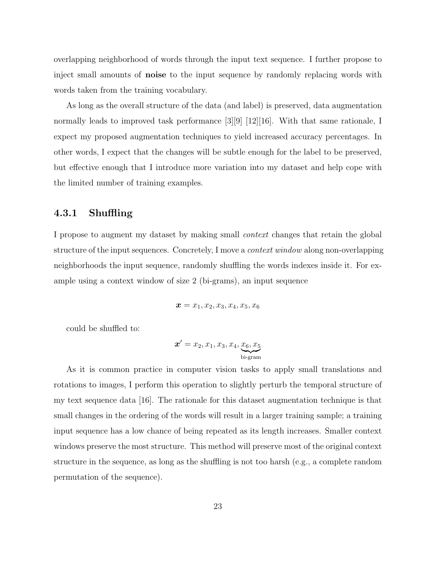overlapping neighborhood of words through the input text sequence. I further propose to inject small amounts of **noise** to the input sequence by randomly replacing words with words taken from the training vocabulary.

As long as the overall structure of the data (and label) is preserved, data augmentation normally leads to improved task performance [3][9] [12][16]. With that same rationale, I expect my proposed augmentation techniques to yield increased accuracy percentages. In other words, I expect that the changes will be subtle enough for the label to be preserved, but effective enough that I introduce more variation into my dataset and help cope with the limited number of training examples.

#### 4.3.1 Shuffling

I propose to augment my dataset by making small context changes that retain the global structure of the input sequences. Concretely, I move a *context window* along non-overlapping neighborhoods the input sequence, randomly shuffling the words indexes inside it. For example using a context window of size 2 (bi-grams), an input sequence

$$
\boldsymbol{x}=x_1,x_2,x_3,x_4,x_5,x_6
$$

could be shuffled to:

$$
\boldsymbol{x}'=x_2,x_1,x_3,x_4,\underbrace{x_6,x_5}_{\text{bi-gram}}
$$

As it is common practice in computer vision tasks to apply small translations and rotations to images, I perform this operation to slightly perturb the temporal structure of my text sequence data [16]. The rationale for this dataset augmentation technique is that small changes in the ordering of the words will result in a larger training sample; a training input sequence has a low chance of being repeated as its length increases. Smaller context windows preserve the most structure. This method will preserve most of the original context structure in the sequence, as long as the shuffling is not too harsh (e.g., a complete random permutation of the sequence).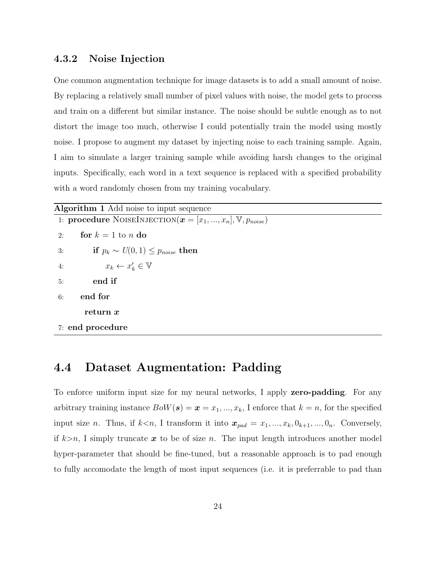#### 4.3.2 Noise Injection

One common augmentation technique for image datasets is to add a small amount of noise. By replacing a relatively small number of pixel values with noise, the model gets to process and train on a different but similar instance. The noise should be subtle enough as to not distort the image too much, otherwise I could potentially train the model using mostly noise. I propose to augment my dataset by injecting noise to each training sample. Again, I aim to simulate a larger training sample while avoiding harsh changes to the original inputs. Specifically, each word in a text sequence is replaced with a specified probability with a word randomly chosen from my training vocabulary.

| <b>Algorithm 1</b> Add noise to input sequence                                              |  |  |  |  |  |
|---------------------------------------------------------------------------------------------|--|--|--|--|--|
| 1: <b>procedure</b> NOISEINJECTION $(\boldsymbol{x} = [x_1, , x_n], \mathbb{V}, p_{noise})$ |  |  |  |  |  |
| for $k = 1$ to n do<br>2:                                                                   |  |  |  |  |  |
| if $p_k \sim U(0,1) \leq p_{noise}$ then<br>3:                                              |  |  |  |  |  |
| $x_k \leftarrow x'_k \in \mathbb{V}$<br>4:                                                  |  |  |  |  |  |
| end if<br>5:                                                                                |  |  |  |  |  |
| end for<br>6:                                                                               |  |  |  |  |  |
| return x                                                                                    |  |  |  |  |  |
| 7: end procedure                                                                            |  |  |  |  |  |

### 4.4 Dataset Augmentation: Padding

To enforce uniform input size for my neural networks, I apply **zero-padding**. For any arbitrary training instance  $BoW(s) = \mathbf{x} = x_1, ..., x_k$ , I enforce that  $k = n$ , for the specified input size *n*. Thus, if  $k < n$ , I transform it into  $x_{pad} = x_1, ..., x_k, 0_{k+1}, ..., 0_n$ . Conversely, if  $k>n$ , I simply truncate x to be of size n. The input length introduces another model hyper-parameter that should be fine-tuned, but a reasonable approach is to pad enough to fully accomodate the length of most input sequences (i.e. it is preferrable to pad than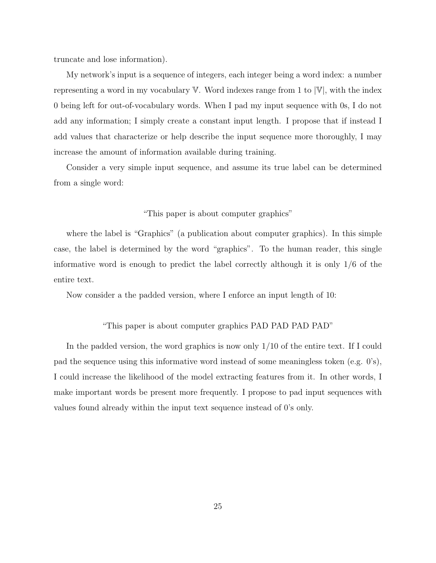truncate and lose information).

My network's input is a sequence of integers, each integer being a word index: a number representing a word in my vocabulary  $V$ . Word indexes range from 1 to  $|V|$ , with the index 0 being left for out-of-vocabulary words. When I pad my input sequence with 0s, I do not add any information; I simply create a constant input length. I propose that if instead I add values that characterize or help describe the input sequence more thoroughly, I may increase the amount of information available during training.

Consider a very simple input sequence, and assume its true label can be determined from a single word:

#### "This paper is about computer graphics"

where the label is "Graphics" (a publication about computer graphics). In this simple case, the label is determined by the word "graphics". To the human reader, this single informative word is enough to predict the label correctly although it is only 1/6 of the entire text.

Now consider a the padded version, where I enforce an input length of 10:

#### "This paper is about computer graphics PAD PAD PAD PAD"

In the padded version, the word graphics is now only 1/10 of the entire text. If I could pad the sequence using this informative word instead of some meaningless token (e.g. 0's), I could increase the likelihood of the model extracting features from it. In other words, I make important words be present more frequently. I propose to pad input sequences with values found already within the input text sequence instead of 0's only.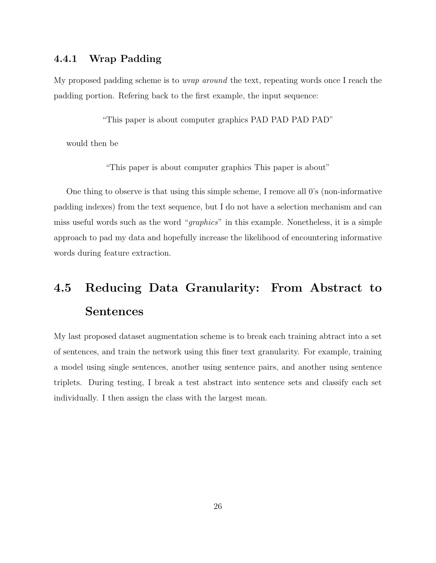#### 4.4.1 Wrap Padding

My proposed padding scheme is to *wrap around* the text, repeating words once I reach the padding portion. Refering back to the first example, the input sequence:

"This paper is about computer graphics PAD PAD PAD PAD"

would then be

"This paper is about computer graphics This paper is about"

One thing to observe is that using this simple scheme, I remove all 0's (non-informative padding indexes) from the text sequence, but I do not have a selection mechanism and can miss useful words such as the word "graphics" in this example. Nonetheless, it is a simple approach to pad my data and hopefully increase the likelihood of encountering informative words during feature extraction.

# 4.5 Reducing Data Granularity: From Abstract to Sentences

My last proposed dataset augmentation scheme is to break each training abtract into a set of sentences, and train the network using this finer text granularity. For example, training a model using single sentences, another using sentence pairs, and another using sentence triplets. During testing, I break a test abstract into sentence sets and classify each set individually. I then assign the class with the largest mean.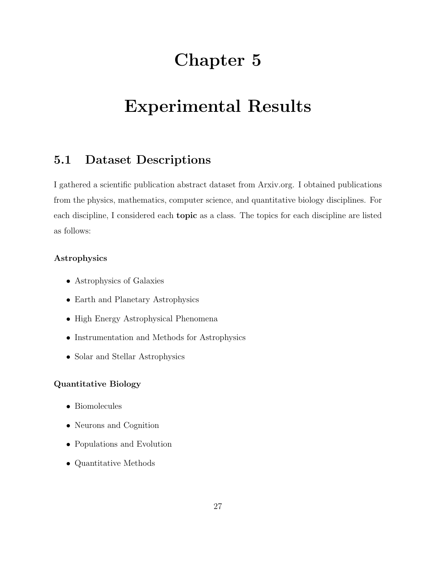# Chapter 5

# Experimental Results

### 5.1 Dataset Descriptions

I gathered a scientific publication abstract dataset from Arxiv.org. I obtained publications from the physics, mathematics, computer science, and quantitative biology disciplines. For each discipline, I considered each topic as a class. The topics for each discipline are listed as follows:

#### Astrophysics

- Astrophysics of Galaxies
- Earth and Planetary Astrophysics
- High Energy Astrophysical Phenomena
- Instrumentation and Methods for Astrophysics
- Solar and Stellar Astrophysics

#### Quantitative Biology

- Biomolecules
- Neurons and Cognition
- Populations and Evolution
- Quantitative Methods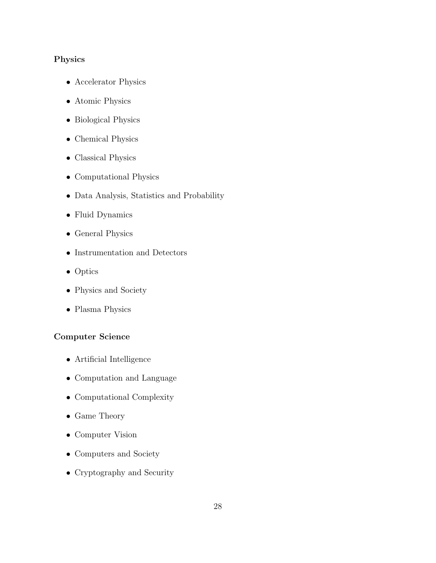### Physics

- Accelerator Physics
- Atomic Physics
- Biological Physics
- $\bullet\,$  Chemical Physics
- Classical Physics
- Computational Physics
- Data Analysis, Statistics and Probability
- Fluid Dynamics
- General Physics
- Instrumentation and Detectors
- Optics
- Physics and Society
- Plasma Physics

#### Computer Science

- Artificial Intelligence
- Computation and Language
- Computational Complexity
- Game Theory
- Computer Vision
- Computers and Society
- Cryptography and Security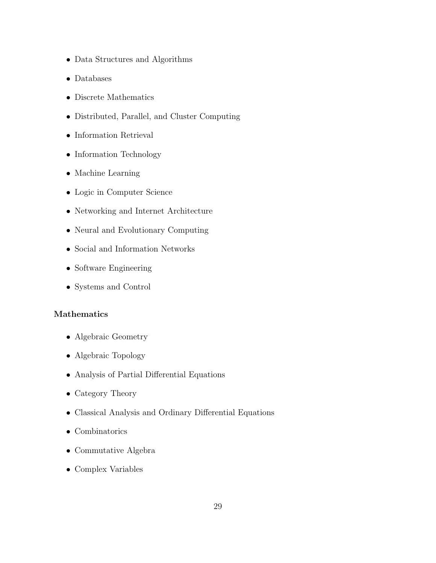- Data Structures and Algorithms
- Databases
- Discrete Mathematics
- Distributed, Parallel, and Cluster Computing
- Information Retrieval
- Information Technology
- Machine Learning
- Logic in Computer Science
- Networking and Internet Architecture
- Neural and Evolutionary Computing
- Social and Information Networks
- Software Engineering
- Systems and Control

#### Mathematics

- Algebraic Geometry
- Algebraic Topology
- Analysis of Partial Differential Equations
- Category Theory
- Classical Analysis and Ordinary Differential Equations
- Combinatorics
- Commutative Algebra
- Complex Variables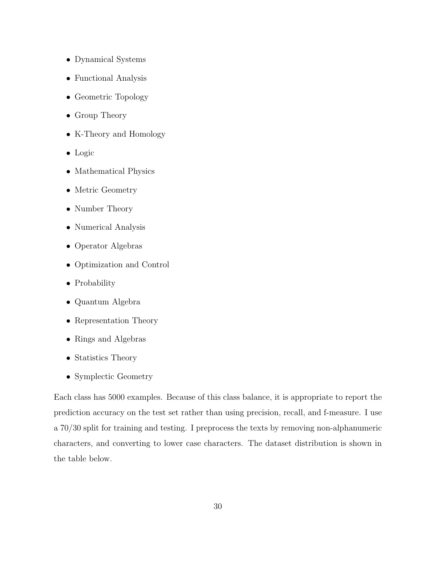- Dynamical Systems
- Functional Analysis
- Geometric Topology
- Group Theory
- K-Theory and Homology
- Logic
- Mathematical Physics
- Metric Geometry
- Number Theory
- Numerical Analysis
- Operator Algebras
- Optimization and Control
- Probability
- Quantum Algebra
- Representation Theory
- Rings and Algebras
- Statistics Theory
- Symplectic Geometry

Each class has 5000 examples. Because of this class balance, it is appropriate to report the prediction accuracy on the test set rather than using precision, recall, and f-measure. I use a 70/30 split for training and testing. I preprocess the texts by removing non-alphanumeric characters, and converting to lower case characters. The dataset distribution is shown in the table below.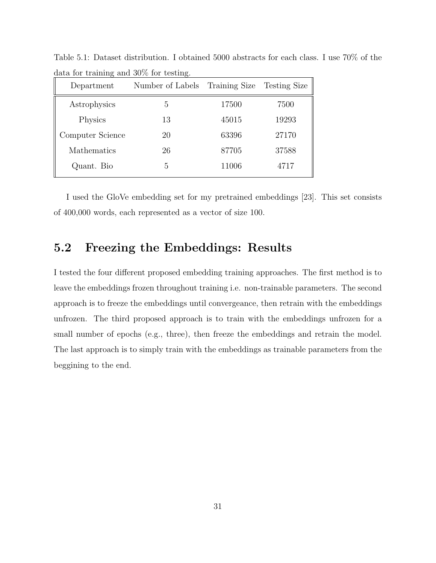| Department       | Number of Labels | Training Size | <b>Testing Size</b> |
|------------------|------------------|---------------|---------------------|
| Astrophysics     | 5                | 17500         | 7500                |
| Physics          | 13               | 45015         | 19293               |
| Computer Science | 20               | 63396         | 27170               |
| Mathematics      | 26               | 87705         | 37588               |
| Quant. Bio       | 5                | 11006         | 4717                |

Table 5.1: Dataset distribution. I obtained 5000 abstracts for each class. I use 70% of the data for training and 30% for testing.

I used the GloVe embedding set for my pretrained embeddings [23]. This set consists of 400,000 words, each represented as a vector of size 100.

## 5.2 Freezing the Embeddings: Results

I tested the four different proposed embedding training approaches. The first method is to leave the embeddings frozen throughout training i.e. non-trainable parameters. The second approach is to freeze the embeddings until convergeance, then retrain with the embeddings unfrozen. The third proposed approach is to train with the embeddings unfrozen for a small number of epochs (e.g., three), then freeze the embeddings and retrain the model. The last approach is to simply train with the embeddings as trainable parameters from the beggining to the end.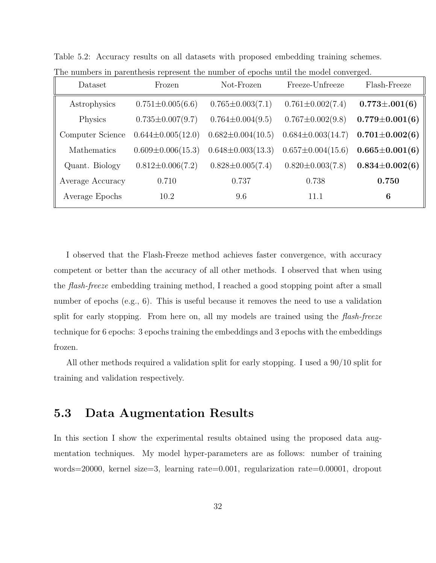| Dataset          | Frozen                  | Not-Frozen              | Freeze-Unfreeze         | Flash-Freeze         |
|------------------|-------------------------|-------------------------|-------------------------|----------------------|
| Astrophysics     | $0.751 \pm 0.005(6.6)$  | $0.765 \pm 0.003(7.1)$  | $0.761 \pm 0.002(7.4)$  | $0.773 \pm 0.001(6)$ |
| Physics          | $0.735 \pm 0.007(9.7)$  | $0.764 \pm 0.004(9.5)$  | $0.767 \pm 0.002(9.8)$  | $0.779 \pm 0.001(6)$ |
| Computer Science | $0.644 \pm 0.005(12.0)$ | $0.682 \pm 0.004(10.5)$ | $0.684 \pm 0.003(14.7)$ | $0.701 \pm 0.002(6)$ |
| Mathematics      | $0.609 \pm 0.006(15.3)$ | $0.648 \pm 0.003(13.3)$ | $0.657 \pm 0.004(15.6)$ | $0.665 \pm 0.001(6)$ |
| Quant. Biology   | $0.812 \pm 0.006(7.2)$  | $0.828 \pm 0.005(7.4)$  | $0.820 \pm 0.003(7.8)$  | $0.834\pm0.002(6)$   |
| Average Accuracy | 0.710                   | 0.737                   | 0.738                   | 0.750                |
| Average Epochs   | 10.2                    | 9.6                     | 11.1                    | 6                    |

Table 5.2: Accuracy results on all datasets with proposed embedding training schemes.

I observed that the Flash-Freeze method achieves faster convergence, with accuracy competent or better than the accuracy of all other methods. I observed that when using the flash-freeze embedding training method, I reached a good stopping point after a small number of epochs (e.g., 6). This is useful because it removes the need to use a validation split for early stopping. From here on, all my models are trained using the flash-freeze technique for 6 epochs: 3 epochs training the embeddings and 3 epochs with the embeddings frozen.

The numbers in parenthesis represent the number of epochs until the model converged.

All other methods required a validation split for early stopping. I used a 90/10 split for training and validation respectively.

### 5.3 Data Augmentation Results

In this section I show the experimental results obtained using the proposed data augmentation techniques. My model hyper-parameters are as follows: number of training words=20000, kernel size=3, learning rate=0.001, regularization rate=0.00001, dropout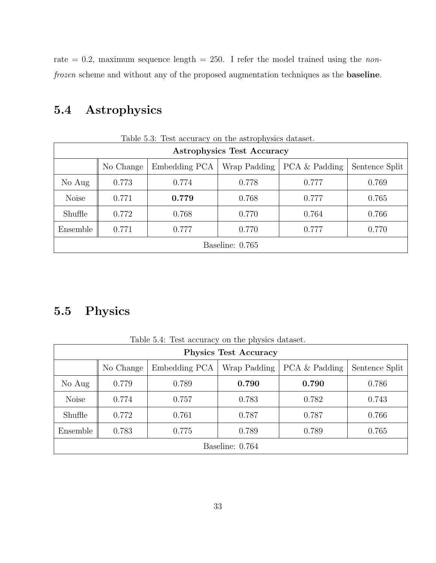rate = 0.2, maximum sequence length = 250. I refer the model trained using the nonfrozen scheme and without any of the proposed augmentation techniques as the baseline.

# 5.4 Astrophysics

|                 | Table 5.3: Test accuracy on the astrophysics dataset.                         |       |       |       |       |  |  |  |
|-----------------|-------------------------------------------------------------------------------|-------|-------|-------|-------|--|--|--|
|                 | <b>Astrophysics Test Accuracy</b>                                             |       |       |       |       |  |  |  |
|                 | PCA & Padding<br>Embedding PCA<br>Wrap Padding<br>Sentence Split<br>No Change |       |       |       |       |  |  |  |
| No Aug          | 0.773                                                                         | 0.774 | 0.778 | 0.777 | 0.769 |  |  |  |
| <b>Noise</b>    | 0.771                                                                         | 0.779 | 0.768 | 0.777 | 0.765 |  |  |  |
| Shuffle         | 0.772                                                                         | 0.768 | 0.770 | 0.764 | 0.766 |  |  |  |
| Ensemble        | 0.771<br>0.777<br>0.770<br>0.777<br>0.770                                     |       |       |       |       |  |  |  |
| Baseline: 0.765 |                                                                               |       |       |       |       |  |  |  |

Table 5.3: Test accuracy on the astrophysics dataset.

## 5.5 Physics

|                 | Lable 0.4. Lest accuracy on the physics datasct.<br><b>Physics Test Accuracy</b> |       |       |       |       |  |  |  |
|-----------------|----------------------------------------------------------------------------------|-------|-------|-------|-------|--|--|--|
|                 | PCA & Padding<br>Embedding PCA<br>Wrap Padding<br>Sentence Split<br>No Change    |       |       |       |       |  |  |  |
| No Aug          | 0.779                                                                            | 0.789 | 0.790 | 0.790 | 0.786 |  |  |  |
| <b>Noise</b>    | 0.774                                                                            | 0.757 | 0.783 | 0.782 | 0.743 |  |  |  |
| Shuffle         | 0.772                                                                            | 0.761 | 0.787 | 0.787 | 0.766 |  |  |  |
| Ensemble        | 0.783<br>0.775<br>0.789<br>0.789<br>0.765                                        |       |       |       |       |  |  |  |
| Baseline: 0.764 |                                                                                  |       |       |       |       |  |  |  |

Table 5.4: Test accuracy on the physics dataset.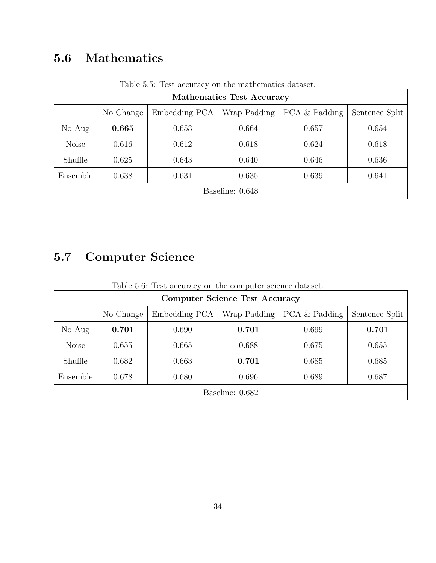# 5.6 Mathematics

|                                            | Table 5.5: Test accuracy on the mathematics dataset.                            |       |       |       |       |  |  |  |
|--------------------------------------------|---------------------------------------------------------------------------------|-------|-------|-------|-------|--|--|--|
|                                            | <b>Mathematics Test Accuracy</b>                                                |       |       |       |       |  |  |  |
|                                            | PCA & Padding<br>Wrap Padding<br>Embedding PCA<br>Sentence Split  <br>No Change |       |       |       |       |  |  |  |
| No Aug<br>0.665<br>0.664<br>0.657<br>0.653 |                                                                                 |       |       |       | 0.654 |  |  |  |
| <b>Noise</b>                               | 0.616                                                                           | 0.612 | 0.618 | 0.624 | 0.618 |  |  |  |
| Shuffle                                    | 0.625                                                                           | 0.643 | 0.640 | 0.646 | 0.636 |  |  |  |
| Ensemble                                   | 0.638<br>0.631<br>0.635<br>0.639<br>0.641                                       |       |       |       |       |  |  |  |
| Baseline: 0.648                            |                                                                                 |       |       |       |       |  |  |  |

Table 5.5: Test accuracy on the mathematics dataset.

# 5.7 Computer Science

| Table 5.6: Test accuracy on the computer science dataset. |  |  |  |  |
|-----------------------------------------------------------|--|--|--|--|
|-----------------------------------------------------------|--|--|--|--|

| <b>Computer Science Test Accuracy</b> |           |               |              |               |                |  |  |  |
|---------------------------------------|-----------|---------------|--------------|---------------|----------------|--|--|--|
|                                       | No Change | Embedding PCA | Wrap Padding | PCA & Padding | Sentence Split |  |  |  |
| No Aug                                | 0.701     | 0.690         | 0.701        | 0.699         | 0.701          |  |  |  |
| <b>Noise</b>                          | 0.655     | 0.665         | 0.688        | 0.675         | 0.655          |  |  |  |
| Shuffle                               | 0.682     | 0.663         | 0.701        | 0.685         | 0.685          |  |  |  |
| Ensemble                              | 0.678     | 0.680         | 0.696        | 0.689         | 0.687          |  |  |  |
| Baseline: 0.682                       |           |               |              |               |                |  |  |  |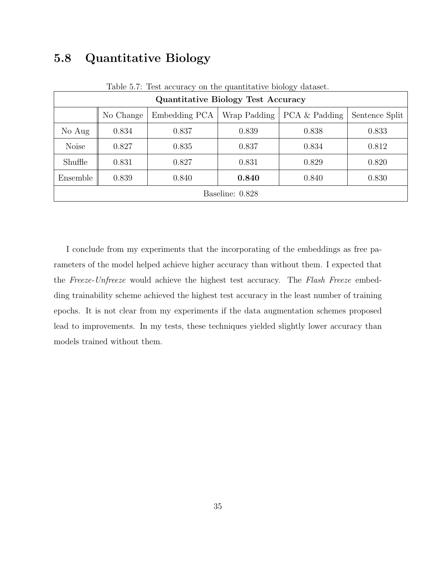## 5.8 Quantitative Biology

| Table 5.7: Test accuracy on the quantitative biology dataset. |           |               |              |               |                |  |  |  |
|---------------------------------------------------------------|-----------|---------------|--------------|---------------|----------------|--|--|--|
| <b>Quantitative Biology Test Accuracy</b>                     |           |               |              |               |                |  |  |  |
|                                                               | No Change | Embedding PCA | Wrap Padding | PCA & Padding | Sentence Split |  |  |  |
| No Aug                                                        | 0.834     | 0.837         | 0.839        | 0.838         | 0.833          |  |  |  |
| <b>Noise</b>                                                  | 0.827     | 0.835         | 0.837        | 0.834         | 0.812          |  |  |  |
| Shuffle                                                       | 0.831     | 0.827         | 0.831        | 0.829         | 0.820          |  |  |  |
| Ensemble                                                      | 0.839     | 0.840         | 0.840        | 0.840         | 0.830          |  |  |  |
| Baseline: 0.828                                               |           |               |              |               |                |  |  |  |

Table 5.7: Test accuracy on the quantitative biology dataset.

I conclude from my experiments that the incorporating of the embeddings as free parameters of the model helped achieve higher accuracy than without them. I expected that the Freeze-Unfreeze would achieve the highest test accuracy. The Flash Freeze embedding trainability scheme achieved the highest test accuracy in the least number of training epochs. It is not clear from my experiments if the data augmentation schemes proposed lead to improvements. In my tests, these techniques yielded slightly lower accuracy than models trained without them.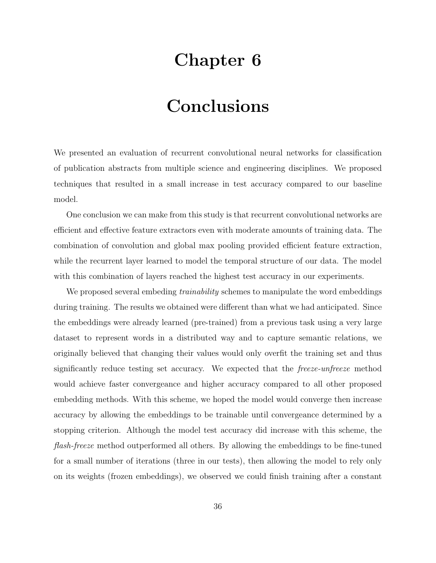# Chapter 6

# Conclusions

We presented an evaluation of recurrent convolutional neural networks for classification of publication abstracts from multiple science and engineering disciplines. We proposed techniques that resulted in a small increase in test accuracy compared to our baseline model.

One conclusion we can make from this study is that recurrent convolutional networks are efficient and effective feature extractors even with moderate amounts of training data. The combination of convolution and global max pooling provided efficient feature extraction, while the recurrent layer learned to model the temporal structure of our data. The model with this combination of layers reached the highest test accuracy in our experiments.

We proposed several embeding *trainability* schemes to manipulate the word embeddings during training. The results we obtained were different than what we had anticipated. Since the embeddings were already learned (pre-trained) from a previous task using a very large dataset to represent words in a distributed way and to capture semantic relations, we originally believed that changing their values would only overfit the training set and thus significantly reduce testing set accuracy. We expected that the freeze-unfreeze method would achieve faster convergeance and higher accuracy compared to all other proposed embedding methods. With this scheme, we hoped the model would converge then increase accuracy by allowing the embeddings to be trainable until convergeance determined by a stopping criterion. Although the model test accuracy did increase with this scheme, the flash-freeze method outperformed all others. By allowing the embeddings to be fine-tuned for a small number of iterations (three in our tests), then allowing the model to rely only on its weights (frozen embeddings), we observed we could finish training after a constant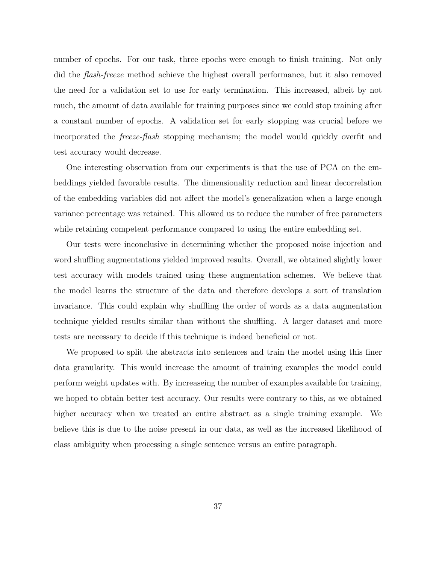number of epochs. For our task, three epochs were enough to finish training. Not only did the flash-freeze method achieve the highest overall performance, but it also removed the need for a validation set to use for early termination. This increased, albeit by not much, the amount of data available for training purposes since we could stop training after a constant number of epochs. A validation set for early stopping was crucial before we incorporated the freeze-flash stopping mechanism; the model would quickly overfit and test accuracy would decrease.

One interesting observation from our experiments is that the use of PCA on the embeddings yielded favorable results. The dimensionality reduction and linear decorrelation of the embedding variables did not affect the model's generalization when a large enough variance percentage was retained. This allowed us to reduce the number of free parameters while retaining competent performance compared to using the entire embedding set.

Our tests were inconclusive in determining whether the proposed noise injection and word shuffling augmentations yielded improved results. Overall, we obtained slightly lower test accuracy with models trained using these augmentation schemes. We believe that the model learns the structure of the data and therefore develops a sort of translation invariance. This could explain why shuffling the order of words as a data augmentation technique yielded results similar than without the shuffling. A larger dataset and more tests are necessary to decide if this technique is indeed beneficial or not.

We proposed to split the abstracts into sentences and train the model using this finer data granularity. This would increase the amount of training examples the model could perform weight updates with. By increaseing the number of examples available for training, we hoped to obtain better test accuracy. Our results were contrary to this, as we obtained higher accuracy when we treated an entire abstract as a single training example. We believe this is due to the noise present in our data, as well as the increased likelihood of class ambiguity when processing a single sentence versus an entire paragraph.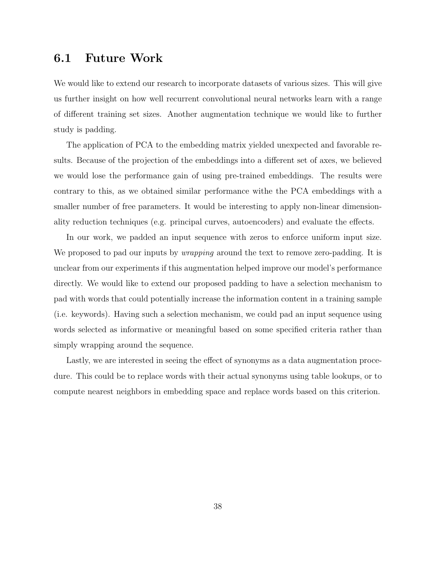### 6.1 Future Work

We would like to extend our research to incorporate datasets of various sizes. This will give us further insight on how well recurrent convolutional neural networks learn with a range of different training set sizes. Another augmentation technique we would like to further study is padding.

The application of PCA to the embedding matrix yielded unexpected and favorable results. Because of the projection of the embeddings into a different set of axes, we believed we would lose the performance gain of using pre-trained embeddings. The results were contrary to this, as we obtained similar performance withe the PCA embeddings with a smaller number of free parameters. It would be interesting to apply non-linear dimensionality reduction techniques (e.g. principal curves, autoencoders) and evaluate the effects.

In our work, we padded an input sequence with zeros to enforce uniform input size. We proposed to pad our inputs by *wrapping* around the text to remove zero-padding. It is unclear from our experiments if this augmentation helped improve our model's performance directly. We would like to extend our proposed padding to have a selection mechanism to pad with words that could potentially increase the information content in a training sample (i.e. keywords). Having such a selection mechanism, we could pad an input sequence using words selected as informative or meaningful based on some specified criteria rather than simply wrapping around the sequence.

Lastly, we are interested in seeing the effect of synonyms as a data augmentation procedure. This could be to replace words with their actual synonyms using table lookups, or to compute nearest neighbors in embedding space and replace words based on this criterion.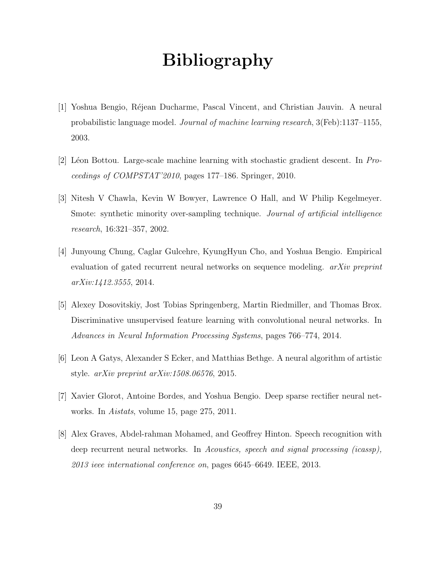# Bibliography

- [1] Yoshua Bengio, R´ejean Ducharme, Pascal Vincent, and Christian Jauvin. A neural probabilistic language model. Journal of machine learning research, 3(Feb):1137–1155, 2003.
- [2] Léon Bottou. Large-scale machine learning with stochastic gradient descent. In  $Pro$ ceedings of COMPSTAT'2010, pages 177–186. Springer, 2010.
- [3] Nitesh V Chawla, Kevin W Bowyer, Lawrence O Hall, and W Philip Kegelmeyer. Smote: synthetic minority over-sampling technique. Journal of artificial intelligence research, 16:321–357, 2002.
- [4] Junyoung Chung, Caglar Gulcehre, KyungHyun Cho, and Yoshua Bengio. Empirical evaluation of gated recurrent neural networks on sequence modeling. *arXiv preprint* arXiv:1412.3555, 2014.
- [5] Alexey Dosovitskiy, Jost Tobias Springenberg, Martin Riedmiller, and Thomas Brox. Discriminative unsupervised feature learning with convolutional neural networks. In Advances in Neural Information Processing Systems, pages 766–774, 2014.
- [6] Leon A Gatys, Alexander S Ecker, and Matthias Bethge. A neural algorithm of artistic style. arXiv preprint arXiv:1508.06576, 2015.
- [7] Xavier Glorot, Antoine Bordes, and Yoshua Bengio. Deep sparse rectifier neural networks. In Aistats, volume 15, page 275, 2011.
- [8] Alex Graves, Abdel-rahman Mohamed, and Geoffrey Hinton. Speech recognition with deep recurrent neural networks. In Acoustics, speech and signal processing (icassp), 2013 ieee international conference on, pages 6645–6649. IEEE, 2013.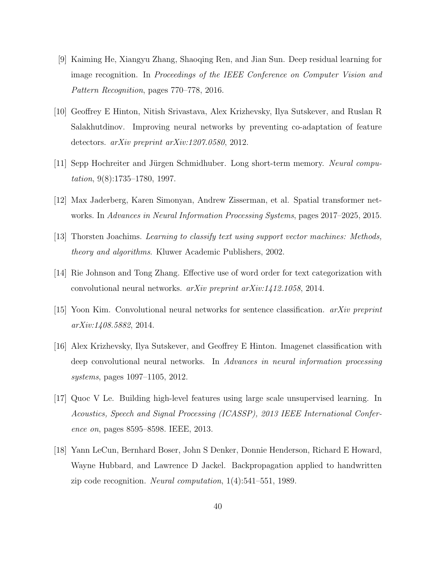- [9] Kaiming He, Xiangyu Zhang, Shaoqing Ren, and Jian Sun. Deep residual learning for image recognition. In Proceedings of the IEEE Conference on Computer Vision and Pattern Recognition, pages 770–778, 2016.
- [10] Geoffrey E Hinton, Nitish Srivastava, Alex Krizhevsky, Ilya Sutskever, and Ruslan R Salakhutdinov. Improving neural networks by preventing co-adaptation of feature detectors. arXiv preprint arXiv:1207.0580, 2012.
- [11] Sepp Hochreiter and Jürgen Schmidhuber. Long short-term memory. Neural computation, 9(8):1735–1780, 1997.
- [12] Max Jaderberg, Karen Simonyan, Andrew Zisserman, et al. Spatial transformer networks. In Advances in Neural Information Processing Systems, pages 2017–2025, 2015.
- [13] Thorsten Joachims. Learning to classify text using support vector machines: Methods, theory and algorithms. Kluwer Academic Publishers, 2002.
- [14] Rie Johnson and Tong Zhang. Effective use of word order for text categorization with convolutional neural networks. arXiv preprint arXiv:1412.1058, 2014.
- [15] Yoon Kim. Convolutional neural networks for sentence classification. arXiv preprint arXiv:1408.5882, 2014.
- [16] Alex Krizhevsky, Ilya Sutskever, and Geoffrey E Hinton. Imagenet classification with deep convolutional neural networks. In Advances in neural information processing systems, pages 1097–1105, 2012.
- [17] Quoc V Le. Building high-level features using large scale unsupervised learning. In Acoustics, Speech and Signal Processing (ICASSP), 2013 IEEE International Conference on, pages 8595–8598. IEEE, 2013.
- [18] Yann LeCun, Bernhard Boser, John S Denker, Donnie Henderson, Richard E Howard, Wayne Hubbard, and Lawrence D Jackel. Backpropagation applied to handwritten zip code recognition. Neural computation, 1(4):541–551, 1989.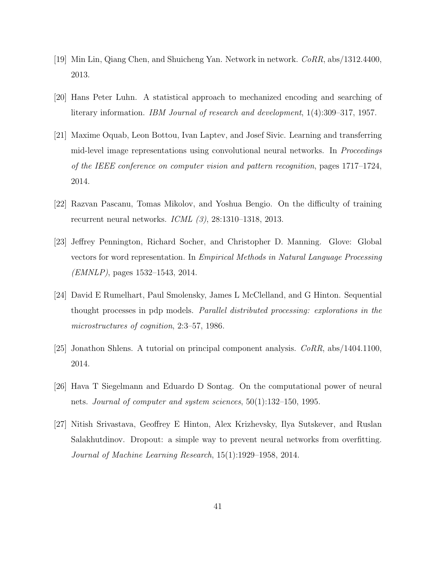- [19] Min Lin, Qiang Chen, and Shuicheng Yan. Network in network. CoRR, abs/1312.4400, 2013.
- [20] Hans Peter Luhn. A statistical approach to mechanized encoding and searching of literary information. IBM Journal of research and development, 1(4):309–317, 1957.
- [21] Maxime Oquab, Leon Bottou, Ivan Laptev, and Josef Sivic. Learning and transferring mid-level image representations using convolutional neural networks. In Proceedings of the IEEE conference on computer vision and pattern recognition, pages 1717–1724, 2014.
- [22] Razvan Pascanu, Tomas Mikolov, and Yoshua Bengio. On the difficulty of training recurrent neural networks. ICML (3), 28:1310–1318, 2013.
- [23] Jeffrey Pennington, Richard Socher, and Christopher D. Manning. Glove: Global vectors for word representation. In Empirical Methods in Natural Language Processing (EMNLP), pages 1532–1543, 2014.
- [24] David E Rumelhart, Paul Smolensky, James L McClelland, and G Hinton. Sequential thought processes in pdp models. Parallel distributed processing: explorations in the microstructures of cognition, 2:3–57, 1986.
- [25] Jonathon Shlens. A tutorial on principal component analysis.  $CoRR$ , abs/1404.1100, 2014.
- [26] Hava T Siegelmann and Eduardo D Sontag. On the computational power of neural nets. Journal of computer and system sciences, 50(1):132–150, 1995.
- [27] Nitish Srivastava, Geoffrey E Hinton, Alex Krizhevsky, Ilya Sutskever, and Ruslan Salakhutdinov. Dropout: a simple way to prevent neural networks from overfitting. Journal of Machine Learning Research, 15(1):1929–1958, 2014.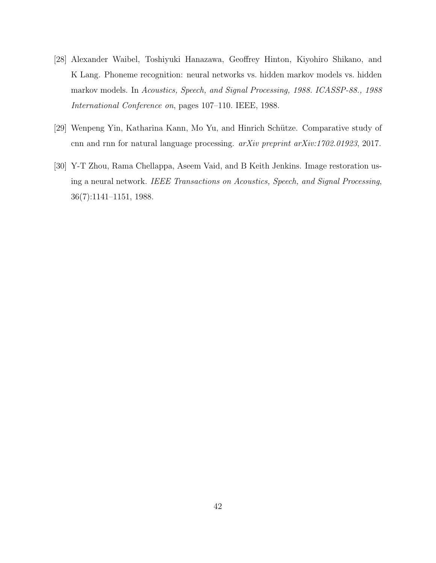- [28] Alexander Waibel, Toshiyuki Hanazawa, Geoffrey Hinton, Kiyohiro Shikano, and K Lang. Phoneme recognition: neural networks vs. hidden markov models vs. hidden markov models. In Acoustics, Speech, and Signal Processing, 1988. ICASSP-88., 1988 International Conference on, pages 107–110. IEEE, 1988.
- [29] Wenpeng Yin, Katharina Kann, Mo Yu, and Hinrich Schütze. Comparative study of cnn and rnn for natural language processing. arXiv preprint arXiv:1702.01923, 2017.
- [30] Y-T Zhou, Rama Chellappa, Aseem Vaid, and B Keith Jenkins. Image restoration using a neural network. IEEE Transactions on Acoustics, Speech, and Signal Processing, 36(7):1141–1151, 1988.